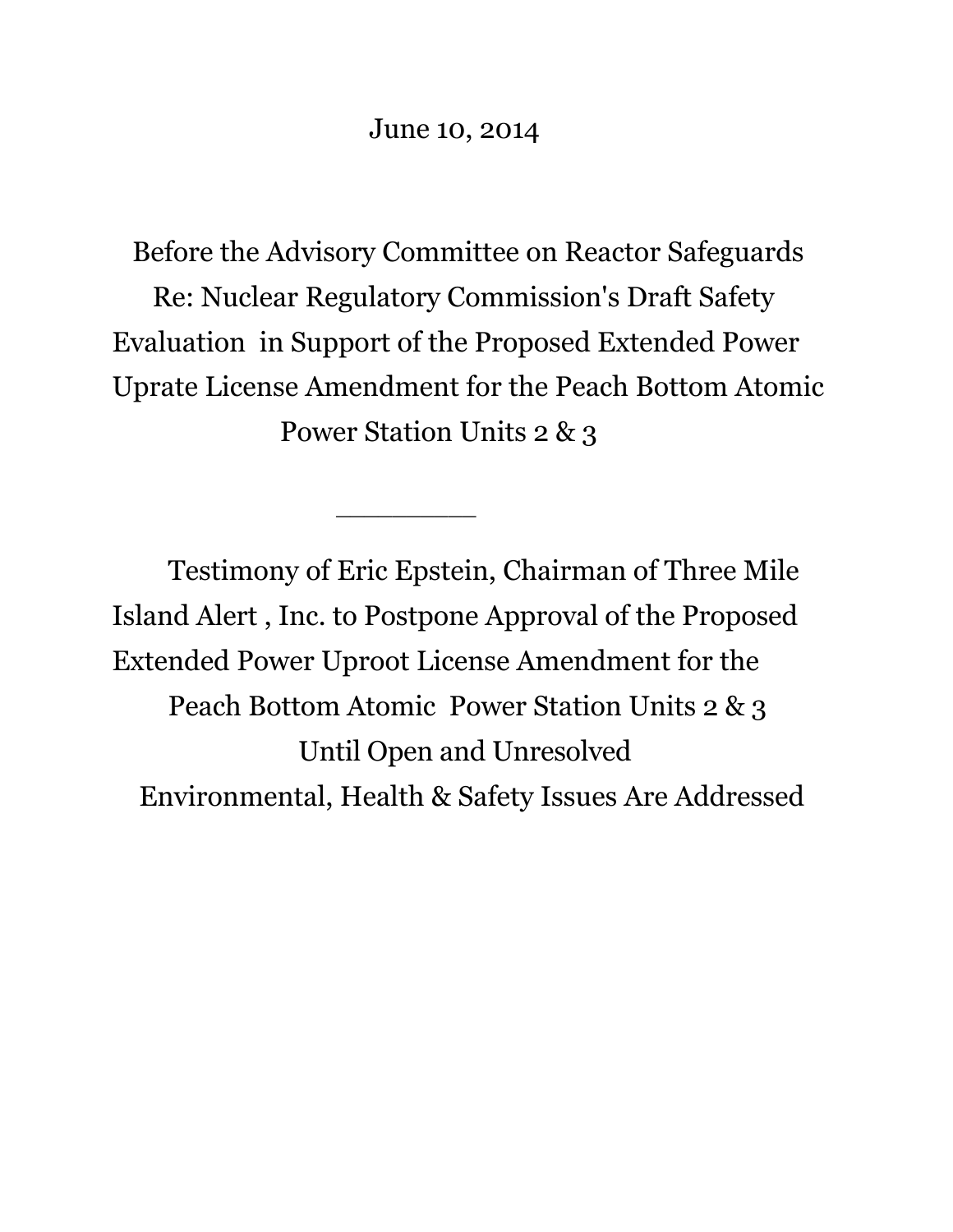Before the Advisory Committee on Reactor Safeguards Re: Nuclear Regulatory Commission's Draft Safety Evaluation in Support of the Proposed Extended Power Uprate License Amendment for the Peach Bottom Atomic Power Station Units 2 & 3

Testimony of Eric Epstein, Chairman of Three Mile Island Alert , Inc. to Postpone Approval of the Proposed Extended Power Uproot License Amendment for the Peach Bottom Atomic Power Station Units 2 & 3 Until Open and Unresolved Environmental, Health & Safety Issues Are Addressed

 $\overline{\phantom{a}}$  , where  $\overline{\phantom{a}}$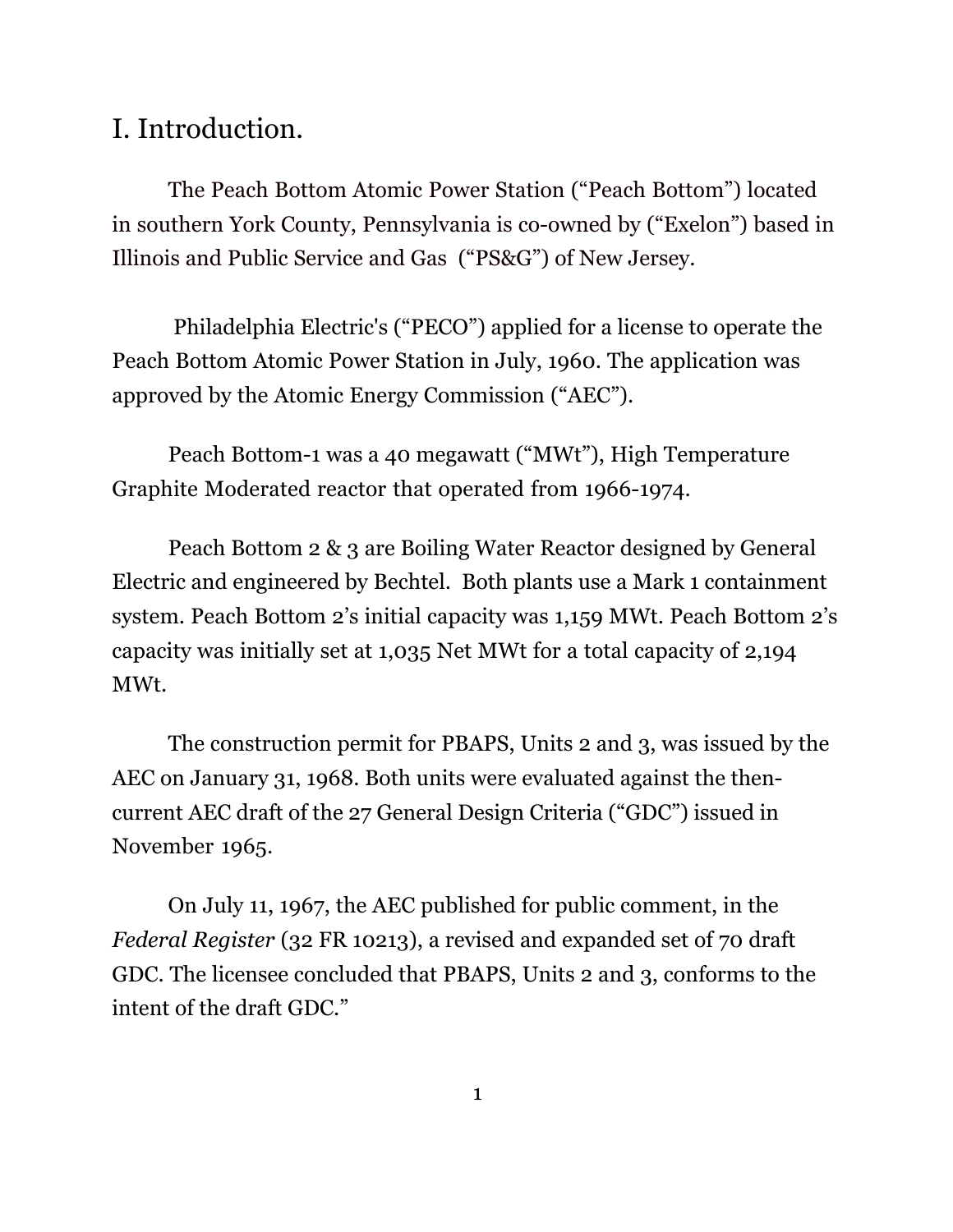# I. Introduction.

The Peach Bottom Atomic Power Station ("Peach Bottom") located in southern York County, Pennsylvania is co-owned by ("Exelon") based in Illinois and Public Service and Gas ("PS&G") of New Jersey.

Philadelphia Electric's ("PECO") applied for a license to operate the Peach Bottom Atomic Power Station in July, 1960. The application was approved by the Atomic Energy Commission ("AEC").

Peach Bottom-1 was a 40 megawatt ("MWt"), High Temperature Graphite Moderated reactor that operated from 1966-1974.

Peach Bottom 2 & 3 are Boiling Water Reactor designed by General Electric and engineered by Bechtel. Both plants use a Mark 1 containment system. Peach Bottom 2's initial capacity was 1,159 MWt. Peach Bottom 2's capacity was initially set at 1,035 Net MWt for a total capacity of 2,194 MWt.

The construction permit for PBAPS, Units 2 and 3, was issued by the AEC on January 31, 1968. Both units were evaluated against the thencurrent AEC draft of the 27 General Design Criteria ("GDC") issued in November 1965.

On July 11, 1967, the AEC published for public comment, in the *Federal Register* (32 FR 10213), a revised and expanded set of 70 draft GDC. The licensee concluded that PBAPS, Units 2 and 3, conforms to the intent of the draft GDC."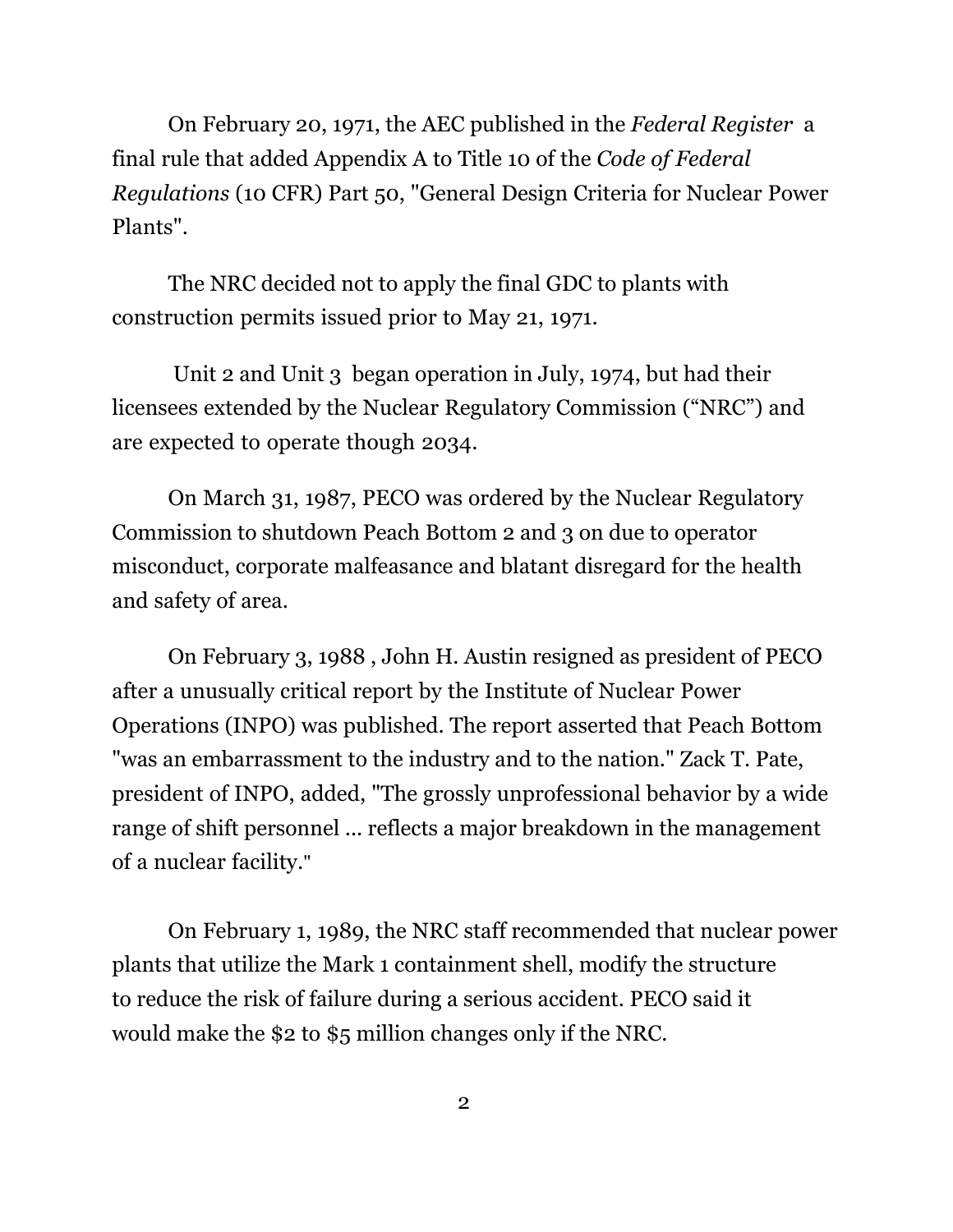On February 20, 1971, the AEC published in the *Federal Register* a final rule that added Appendix A to Title 10 of the *Code of Federal Regulations* (10 CFR) Part 50, "General Design Criteria for Nuclear Power Plants".

The NRC decided not to apply the final GDC to plants with construction permits issued prior to May 21, 1971.

Unit 2 and Unit 3 began operation in July, 1974, but had their licensees extended by the Nuclear Regulatory Commission ("NRC") and are expected to operate though 2034.

On March 31, 1987, PECO was ordered by the Nuclear Regulatory Commission to shutdown Peach Bottom 2 and 3 on due to operator misconduct, corporate malfeasance and blatant disregard for the health and safety of area.

On February 3, 1988 , John H. Austin resigned as president of PECO after a unusually critical report by the Institute of Nuclear Power Operations (INPO) was published. The report asserted that Peach Bottom "was an embarrassment to the industry and to the nation." Zack T. Pate, president of INPO, added, "The grossly unprofessional behavior by a wide range of shift personnel ... reflects a major breakdown in the management of a nuclear facility."

On February 1, 1989, the NRC staff recommended that nuclear power plants that utilize the Mark 1 containment shell, modify the structure to reduce the risk of failure during a serious accident. PECO said it would make the \$2 to \$5 million changes only if the NRC.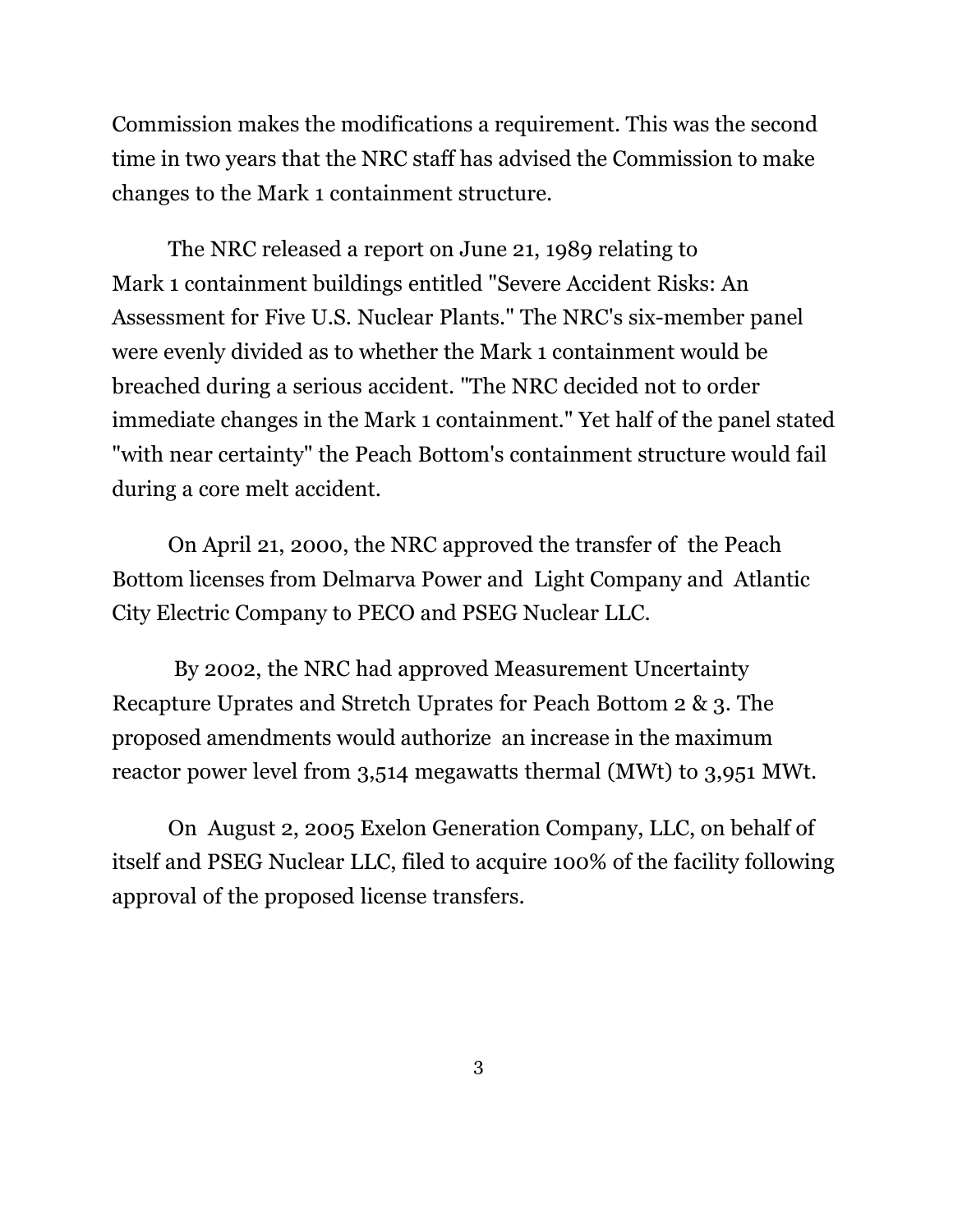Commission makes the modifications a requirement. This was the second time in two years that the NRC staff has advised the Commission to make changes to the Mark 1 containment structure.

The NRC released a report on June 21, 1989 relating to Mark 1 containment buildings entitled "Severe Accident Risks: An Assessment for Five U.S. Nuclear Plants." The NRC's six-member panel were evenly divided as to whether the Mark 1 containment would be breached during a serious accident. "The NRC decided not to order immediate changes in the Mark 1 containment." Yet half of the panel stated "with near certainty" the Peach Bottom's containment structure would fail during a core melt accident.

 On April 21, 2000, the NRC approved the transfer of the Peach Bottom licenses from Delmarva Power and Light Company and Atlantic City Electric Company to PECO and PSEG Nuclear LLC.

By 2002, the NRC had approved Measurement Uncertainty Recapture Uprates and Stretch Uprates for Peach Bottom 2 & 3. The proposed amendments would authorize an increase in the maximum reactor power level from 3,514 megawatts thermal (MWt) to 3,951 MWt.

On August 2, 2005 Exelon Generation Company, LLC, on behalf of itself and PSEG Nuclear LLC, filed to acquire 100% of the facility following approval of the proposed license transfers.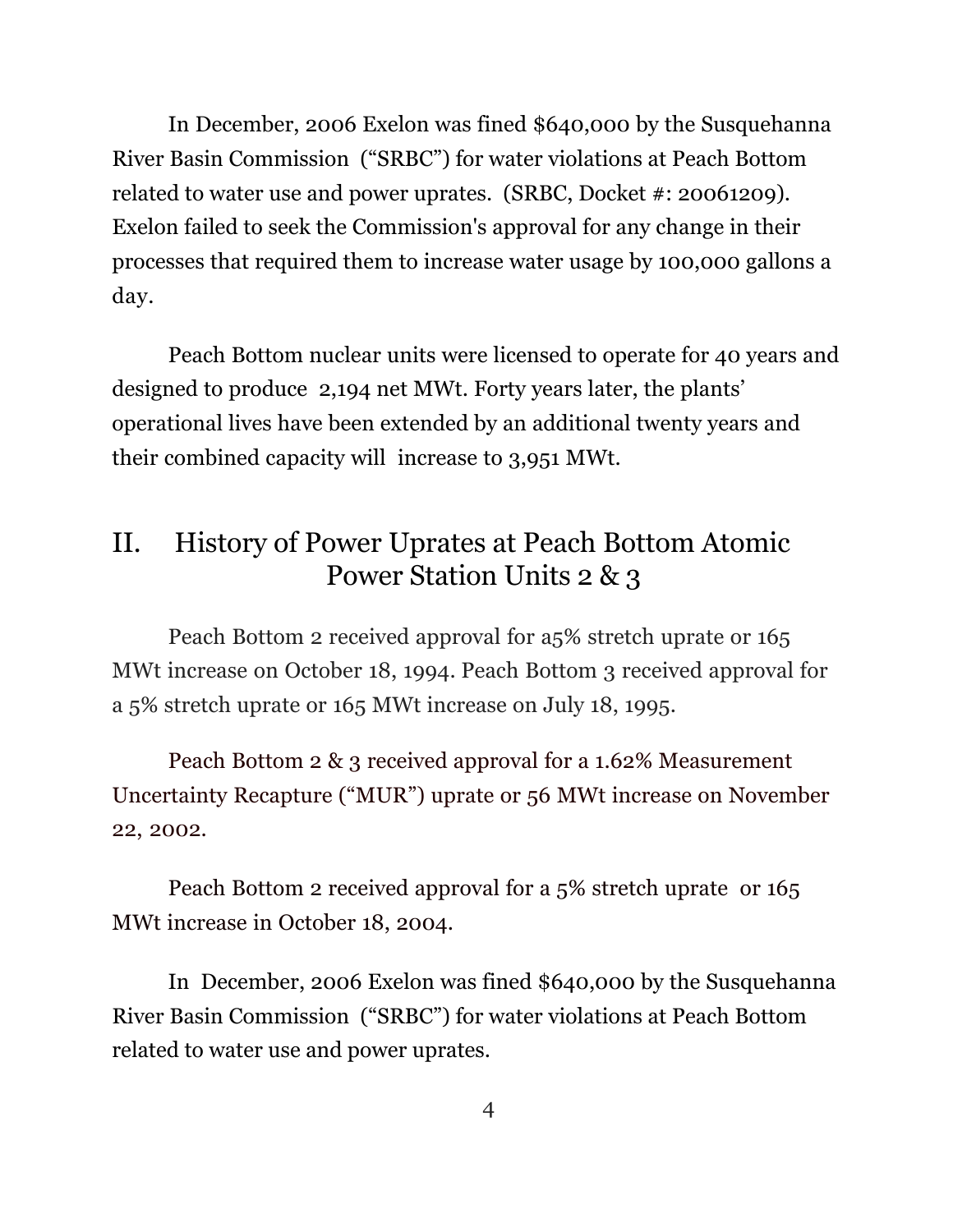In December, 2006 Exelon was fined \$640,000 by the Susquehanna River Basin Commission ("SRBC") for water violations at Peach Bottom related to water use and power uprates. (SRBC, Docket #: 20061209). Exelon failed to seek the Commission's approval for any change in their processes that required them to increase water usage by 100,000 gallons a day.

Peach Bottom nuclear units were licensed to operate for 40 years and designed to produce 2,194 net MWt. Forty years later, the plants' operational lives have been extended by an additional twenty years and their combined capacity will increase to 3,951 MWt.

# II. History of Power Uprates at Peach Bottom Atomic Power Station Units 2 & 3

 Peach Bottom 2 received approval for a5% stretch uprate or 165 MWt increase on October 18, 1994. Peach Bottom 3 received approval for a 5% stretch uprate or 165 MWt increase on July 18, 1995.

Peach Bottom 2 & 3 received approval for a 1.62% Measurement Uncertainty Recapture ("MUR") uprate or 56 MWt increase on November 22, 2002.

Peach Bottom 2 received approval for a 5% stretch uprate or 165 MWt increase in October 18, 2004.

In December, 2006 Exelon was fined \$640,000 by the Susquehanna River Basin Commission ("SRBC") for water violations at Peach Bottom related to water use and power uprates.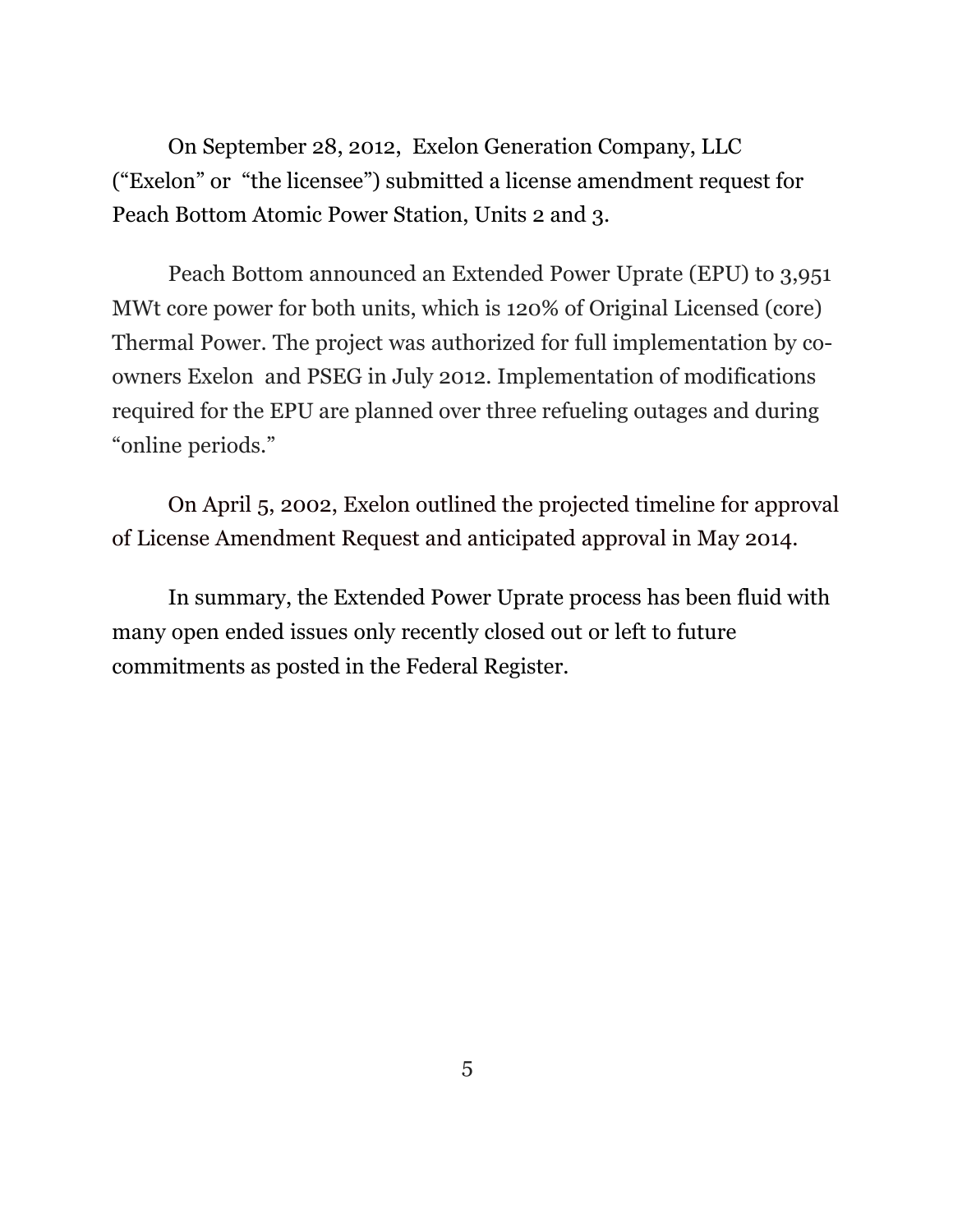On September 28, 2012, Exelon Generation Company, LLC ("Exelon" or "the licensee") submitted a license amendment request for Peach Bottom Atomic Power Station, Units 2 and 3.

 Peach Bottom announced an Extended Power Uprate (EPU) to 3,951 MWt core power for both units, which is 120% of Original Licensed (core) Thermal Power. The project was authorized for full implementation by coowners Exelon and PSEG in July 2012. Implementation of modifications required for the EPU are planned over three refueling outages and during "online periods."

On April 5, 2002, Exelon outlined the projected timeline for approval of License Amendment Request and anticipated approval in May 2014.

In summary, the Extended Power Uprate process has been fluid with many open ended issues only recently closed out or left to future commitments as posted in the Federal Register.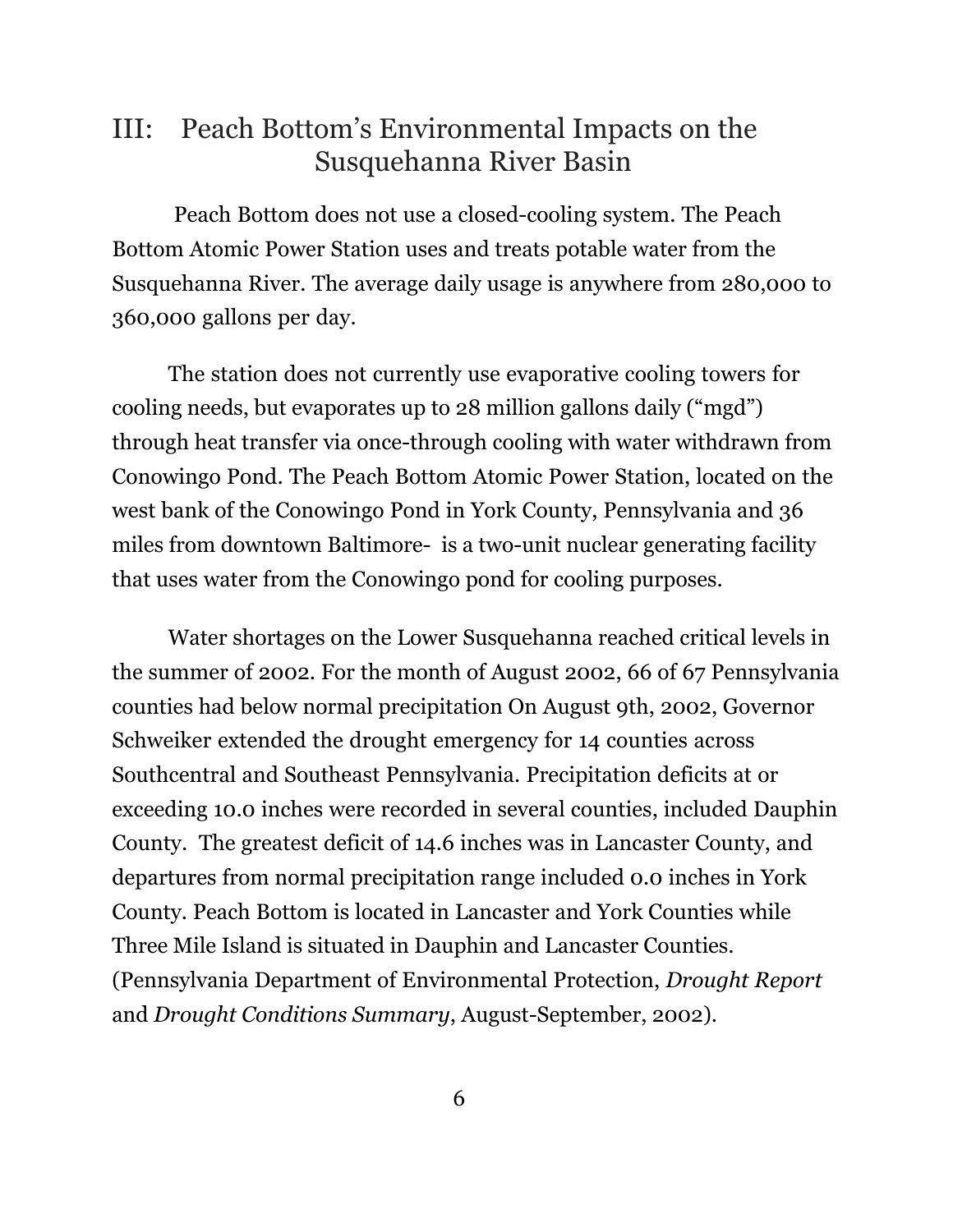# III: Peach Bottom's Environmental Impacts on the Susquehanna River Basin

Peach Bottom does not use a closed-cooling system. The Peach Bottom Atomic Power Station uses and treats potable water from the Susquehanna River. The average daily usage is anywhere from 280,000 to 360,000 gallons per day.

The station does not currently use evaporative cooling towers for cooling needs, but evaporates up to 28 million gallons daily ("mgd") through heat transfer via once-through cooling with water withdrawn from Conowingo Pond. The Peach Bottom Atomic Power Station, located on the west bank of the Conowingo Pond in York County, Pennsylvania and 36 miles from downtown Baltimore- is a two-unit nuclear generating facility that uses water from the Conowingo pond for cooling purposes.

Water shortages on the Lower Susquehanna reached critical levels in the summer of 2002. For the month of August 2002, 66 of 67 Pennsylvania counties had below normal precipitation On August 9th, 2002, Governor Schweiker extended the drought emergency for 14 counties across Southcentral and Southeast Pennsylvania. Precipitation deficits at or exceeding 10.0 inches were recorded in several counties, included Dauphin County. The greatest deficit of 14.6 inches was in Lancaster County, and departures from normal precipitation range included 0.0 inches in York County. Peach Bottom is located in Lancaster and York Counties while Three Mile Island is situated in Dauphin and Lancaster Counties. (Pennsylvania Department of Environmental Protection, *Drought Report*  and *Drought Conditions Summary*, August-September, 2002).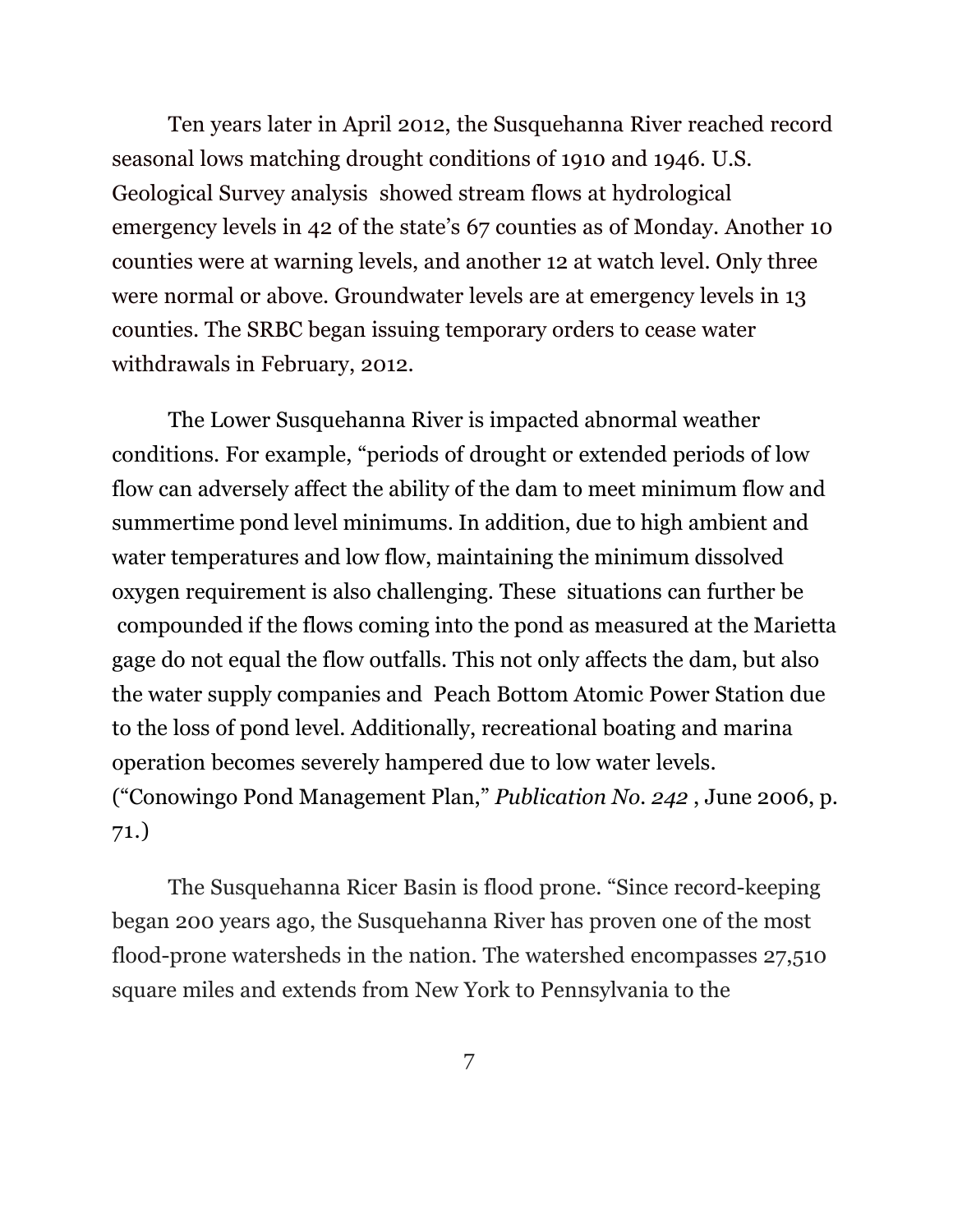Ten years later in April 2012, the Susquehanna River reached record seasonal lows matching drought conditions of 1910 and 1946. U.S. Geological Survey analysis showed stream flows at hydrological emergency levels in 42 of the state's 67 counties as of Monday. Another 10 counties were at warning levels, and another 12 at watch level. Only three were normal or above. Groundwater levels are at emergency levels in 13 counties. The SRBC began issuing temporary orders to cease water withdrawals in February, 2012.

The Lower Susquehanna River is impacted abnormal weather conditions. For example, "periods of drought or extended periods of low flow can adversely affect the ability of the dam to meet minimum flow and summertime pond level minimums. In addition, due to high ambient and water temperatures and low flow, maintaining the minimum dissolved oxygen requirement is also challenging. These situations can further be compounded if the flows coming into the pond as measured at the Marietta gage do not equal the flow outfalls. This not only affects the dam, but also the water supply companies and Peach Bottom Atomic Power Station due to the loss of pond level. Additionally, recreational boating and marina operation becomes severely hampered due to low water levels. ("Conowingo Pond Management Plan," *Publication No. 242* , June 2006, p. 71.)

The Susquehanna Ricer Basin is flood prone. "Since record-keeping began 200 years ago, the Susquehanna River has proven one of the most flood-prone watersheds in the nation. The watershed encompasses 27,510 square miles and extends from New York to Pennsylvania to the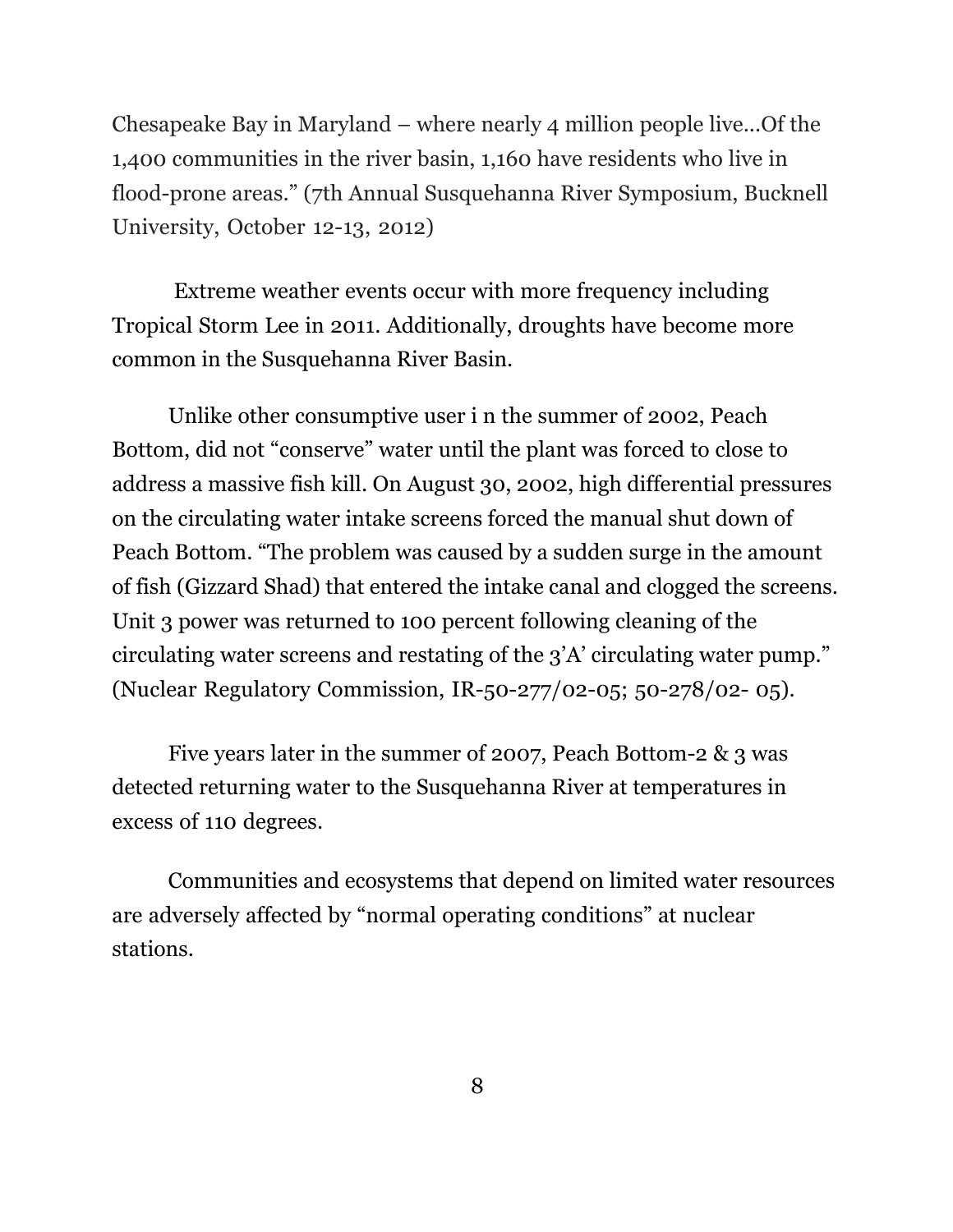Chesapeake Bay in Maryland – where nearly 4 million people live...Of the 1,400 communities in the river basin, 1,160 have residents who live in flood-prone areas." (7th Annual Susquehanna River Symposium, Bucknell University, October 12-13, 2012)

Extreme weather events occur with more frequency including Tropical Storm Lee in 2011. Additionally, droughts have become more common in the Susquehanna River Basin.

Unlike other consumptive user i n the summer of 2002, Peach Bottom, did not "conserve" water until the plant was forced to close to address a massive fish kill. On August 30, 2002, high differential pressures on the circulating water intake screens forced the manual shut down of Peach Bottom. "The problem was caused by a sudden surge in the amount of fish (Gizzard Shad) that entered the intake canal and clogged the screens. Unit 3 power was returned to 100 percent following cleaning of the circulating water screens and restating of the 3'A' circulating water pump." (Nuclear Regulatory Commission, IR-50-277/02-05; 50-278/02- 05).

Five years later in the summer of 2007, Peach Bottom-2 & 3 was detected returning water to the Susquehanna River at temperatures in excess of 110 degrees.

Communities and ecosystems that depend on limited water resources are adversely affected by "normal operating conditions" at nuclear stations.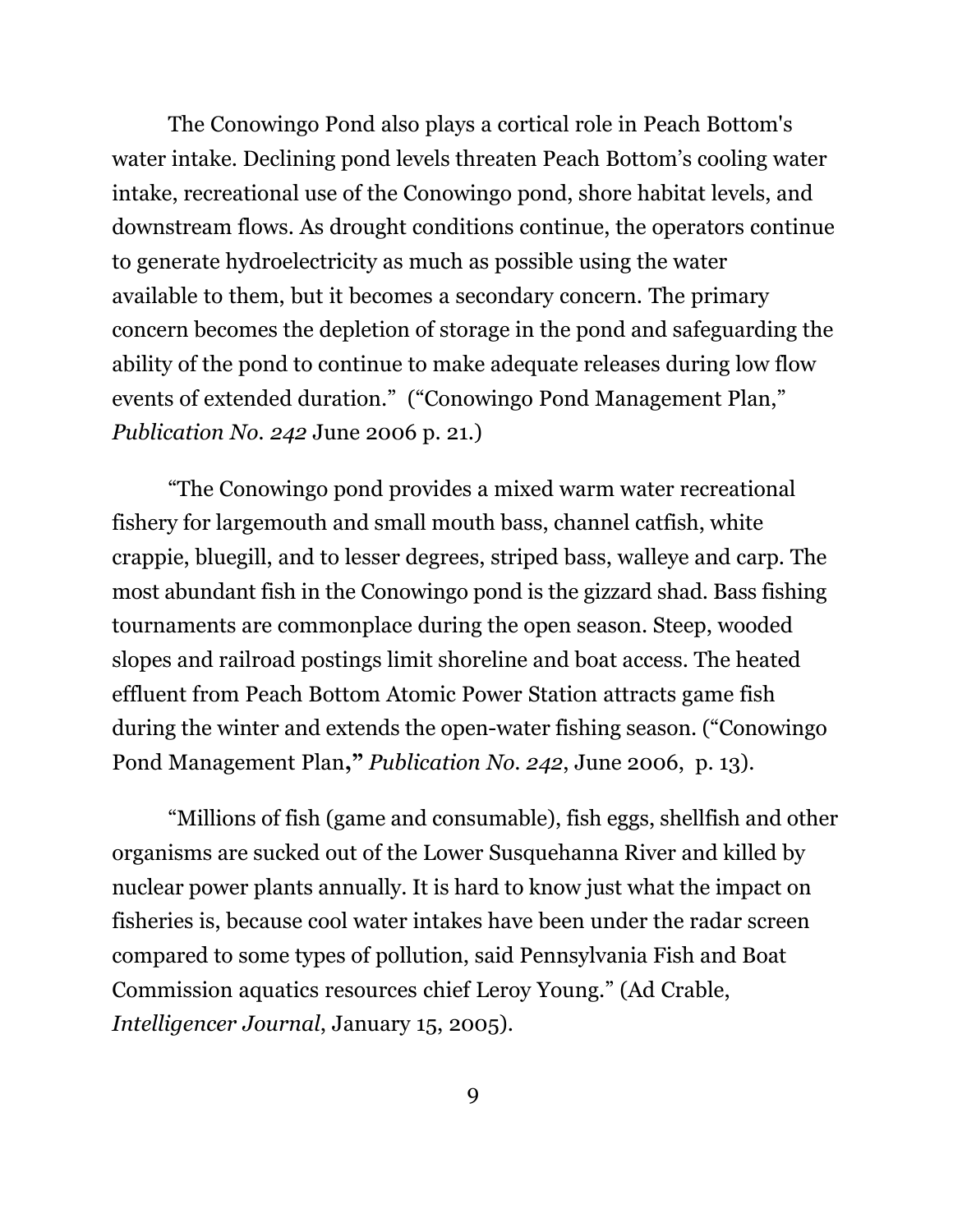The Conowingo Pond also plays a cortical role in Peach Bottom's water intake. Declining pond levels threaten Peach Bottom's cooling water intake, recreational use of the Conowingo pond, shore habitat levels, and downstream flows. As drought conditions continue, the operators continue to generate hydroelectricity as much as possible using the water available to them, but it becomes a secondary concern. The primary concern becomes the depletion of storage in the pond and safeguarding the ability of the pond to continue to make adequate releases during low flow events of extended duration." ("Conowingo Pond Management Plan," *Publication No. 242* June 2006 p. 21.)

"The Conowingo pond provides a mixed warm water recreational fishery for largemouth and small mouth bass, channel catfish, white crappie, bluegill, and to lesser degrees, striped bass, walleye and carp. The most abundant fish in the Conowingo pond is the gizzard shad. Bass fishing tournaments are commonplace during the open season. Steep, wooded slopes and railroad postings limit shoreline and boat access. The heated effluent from Peach Bottom Atomic Power Station attracts game fish during the winter and extends the open-water fishing season. ("Conowingo Pond Management Plan**,"** *Publication No. 242*, June 2006, p. 13).

"Millions of fish (game and consumable), fish eggs, shellfish and other organisms are sucked out of the Lower Susquehanna River and killed by nuclear power plants annually. It is hard to know just what the impact on fisheries is, because cool water intakes have been under the radar screen compared to some types of pollution, said Pennsylvania Fish and Boat Commission aquatics resources chief Leroy Young." (Ad Crable, *Intelligencer Journal*, January 15, 2005).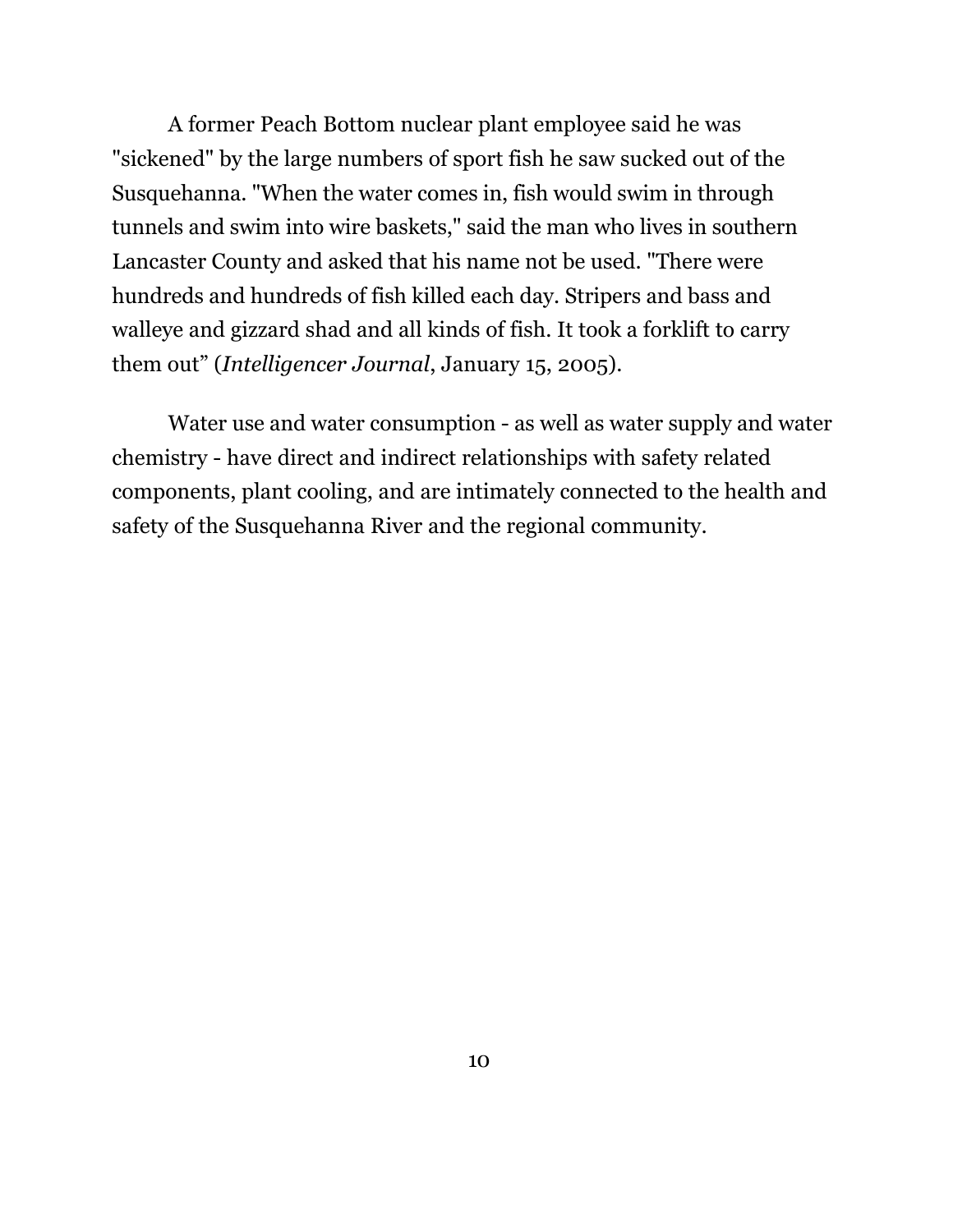A former Peach Bottom nuclear plant employee said he was "sickened" by the large numbers of sport fish he saw sucked out of the Susquehanna. "When the water comes in, fish would swim in through tunnels and swim into wire baskets," said the man who lives in southern Lancaster County and asked that his name not be used. "There were hundreds and hundreds of fish killed each day. Stripers and bass and walleye and gizzard shad and all kinds of fish. It took a forklift to carry them out" (*Intelligencer Journal*, January 15, 2005).

Water use and water consumption - as well as water supply and water chemistry - have direct and indirect relationships with safety related components, plant cooling, and are intimately connected to the health and safety of the Susquehanna River and the regional community.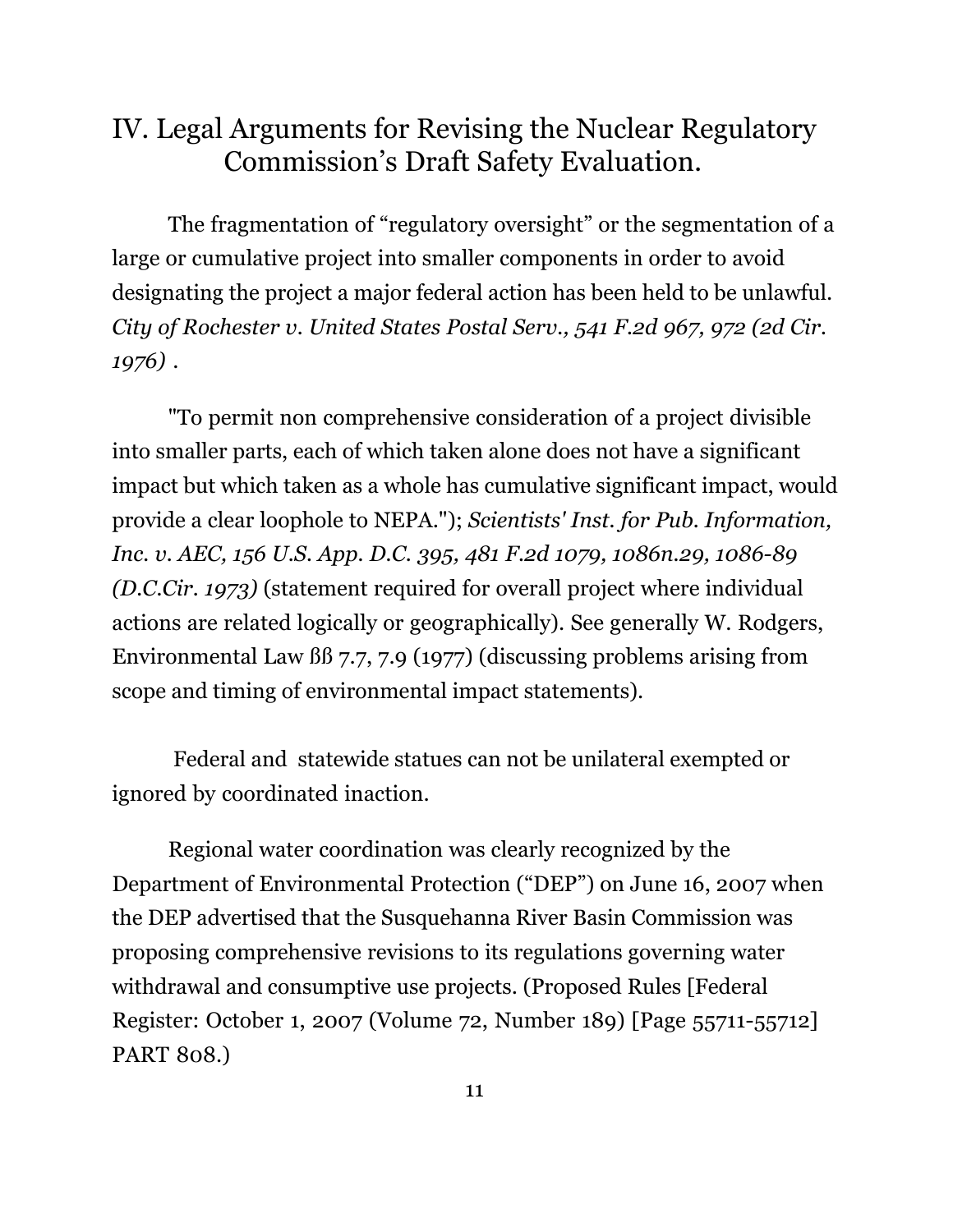# IV. Legal Arguments for Revising the Nuclear Regulatory Commission's Draft Safety Evaluation.

The fragmentation of "regulatory oversight" or the segmentation of a large or cumulative project into smaller components in order to avoid designating the project a major federal action has been held to be unlawful. *City of Rochester v. United States Postal Serv., 541 F.2d 967, 972 (2d Cir. 1976)* .

"To permit non comprehensive consideration of a project divisible into smaller parts, each of which taken alone does not have a significant impact but which taken as a whole has cumulative significant impact, would provide a clear loophole to NEPA."); *Scientists' Inst. for Pub. Information, Inc. v. AEC, 156 U.S. App. D.C. 395, 481 F.2d 1079, 1086n.29, 1086-89 (D.C.Cir. 1973)* (statement required for overall project where individual actions are related logically or geographically). See generally W. Rodgers, Environmental Law ßß 7.7, 7.9 (1977) (discussing problems arising from scope and timing of environmental impact statements).

 Federal and statewide statues can not be unilateral exempted or ignored by coordinated inaction.

Regional water coordination was clearly recognized by the Department of Environmental Protection ("DEP") on June 16, 2007 when the DEP advertised that the Susquehanna River Basin Commission was proposing comprehensive revisions to its regulations governing water withdrawal and consumptive use projects. (Proposed Rules [Federal Register: October 1, 2007 (Volume 72, Number 189) [Page 55711-55712] PART 808.)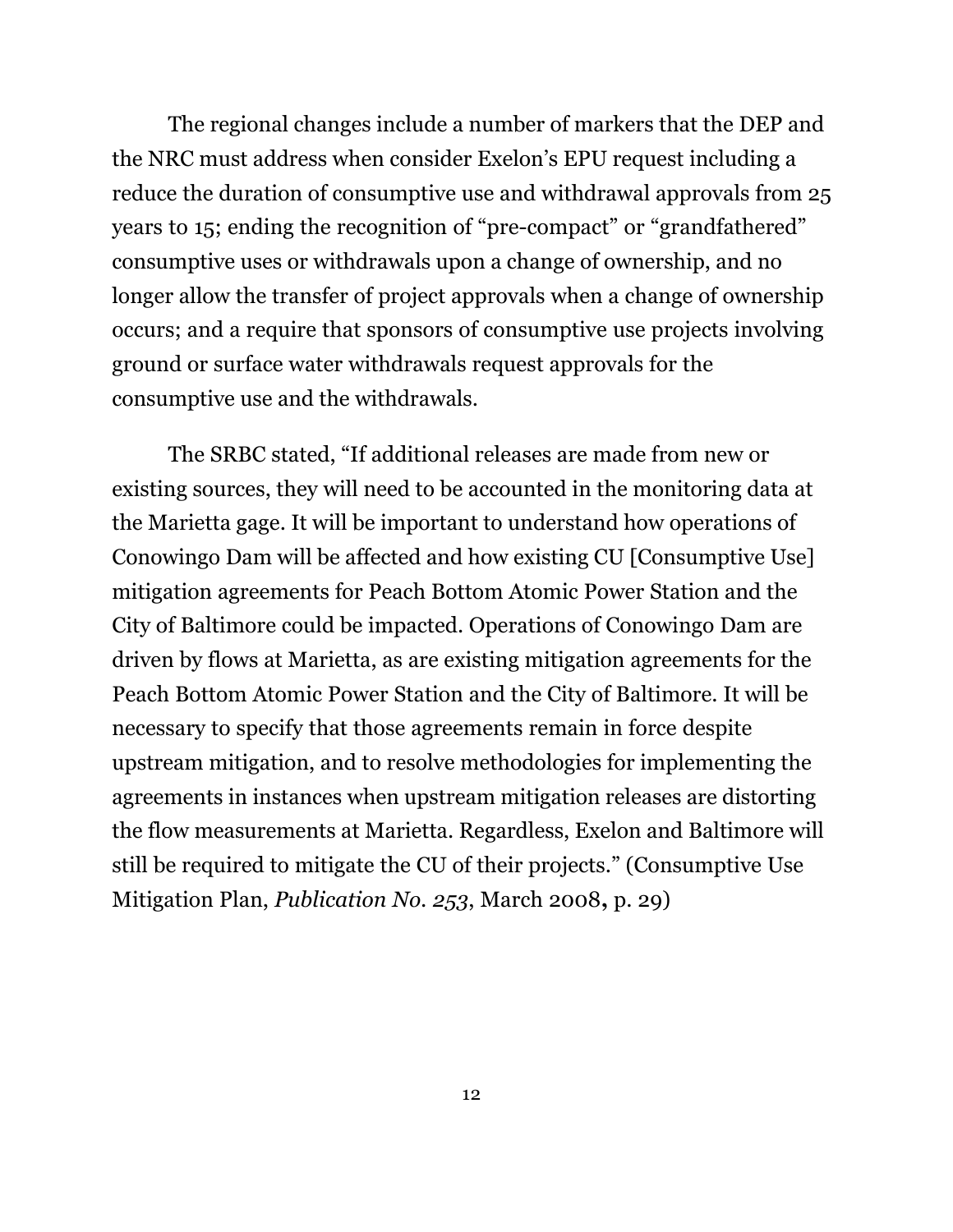The regional changes include a number of markers that the DEP and the NRC must address when consider Exelon's EPU request including a reduce the duration of consumptive use and withdrawal approvals from 25 years to 15; ending the recognition of "pre-compact" or "grandfathered" consumptive uses or withdrawals upon a change of ownership, and no longer allow the transfer of project approvals when a change of ownership occurs; and a require that sponsors of consumptive use projects involving ground or surface water withdrawals request approvals for the consumptive use and the withdrawals.

The SRBC stated, "If additional releases are made from new or existing sources, they will need to be accounted in the monitoring data at the Marietta gage. It will be important to understand how operations of Conowingo Dam will be affected and how existing CU [Consumptive Use] mitigation agreements for Peach Bottom Atomic Power Station and the City of Baltimore could be impacted. Operations of Conowingo Dam are driven by flows at Marietta, as are existing mitigation agreements for the Peach Bottom Atomic Power Station and the City of Baltimore. It will be necessary to specify that those agreements remain in force despite upstream mitigation, and to resolve methodologies for implementing the agreements in instances when upstream mitigation releases are distorting the flow measurements at Marietta. Regardless, Exelon and Baltimore will still be required to mitigate the CU of their projects." (Consumptive Use Mitigation Plan, *Publication No. 253*, March 2008**,** p. 29)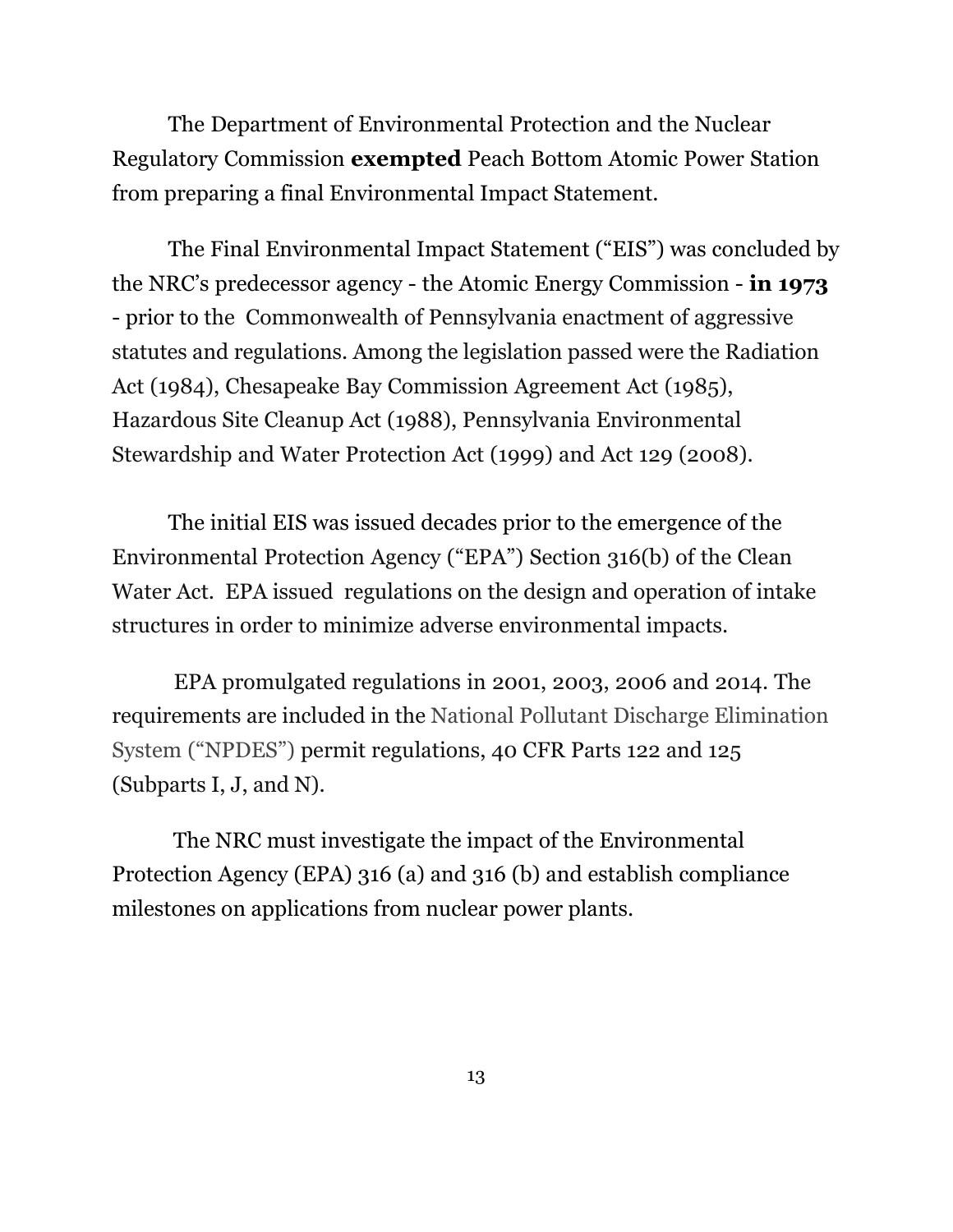The Department of Environmental Protection and the Nuclear Regulatory Commission **exempted** Peach Bottom Atomic Power Station from preparing a final Environmental Impact Statement.

The Final Environmental Impact Statement ("EIS") was concluded by the NRC's predecessor agency - the Atomic Energy Commission - **in 1973** - prior to the Commonwealth of Pennsylvania enactment of aggressive statutes and regulations. Among the legislation passed were the Radiation Act (1984), Chesapeake Bay Commission Agreement Act (1985), Hazardous Site Cleanup Act (1988), Pennsylvania Environmental Stewardship and Water Protection Act (1999) and Act 129 (2008).

 The initial EIS was issued decades prior to the emergence of the Environmental Protection Agency ("EPA") Section 316(b) of the Clean Water Act. EPA issued regulations on the design and operation of intake structures in order to minimize adverse environmental impacts.

EPA promulgated regulations in 2001, 2003, 2006 and 2014. The requirements are included in the National Pollutant Discharge Elimination System ("NPDES") permit regulations, 40 CFR Parts 122 and 125 (Subparts I, J, and N).

The NRC must investigate the impact of the Environmental Protection Agency (EPA) 316 (a) and 316 (b) and establish compliance milestones on applications from nuclear power plants.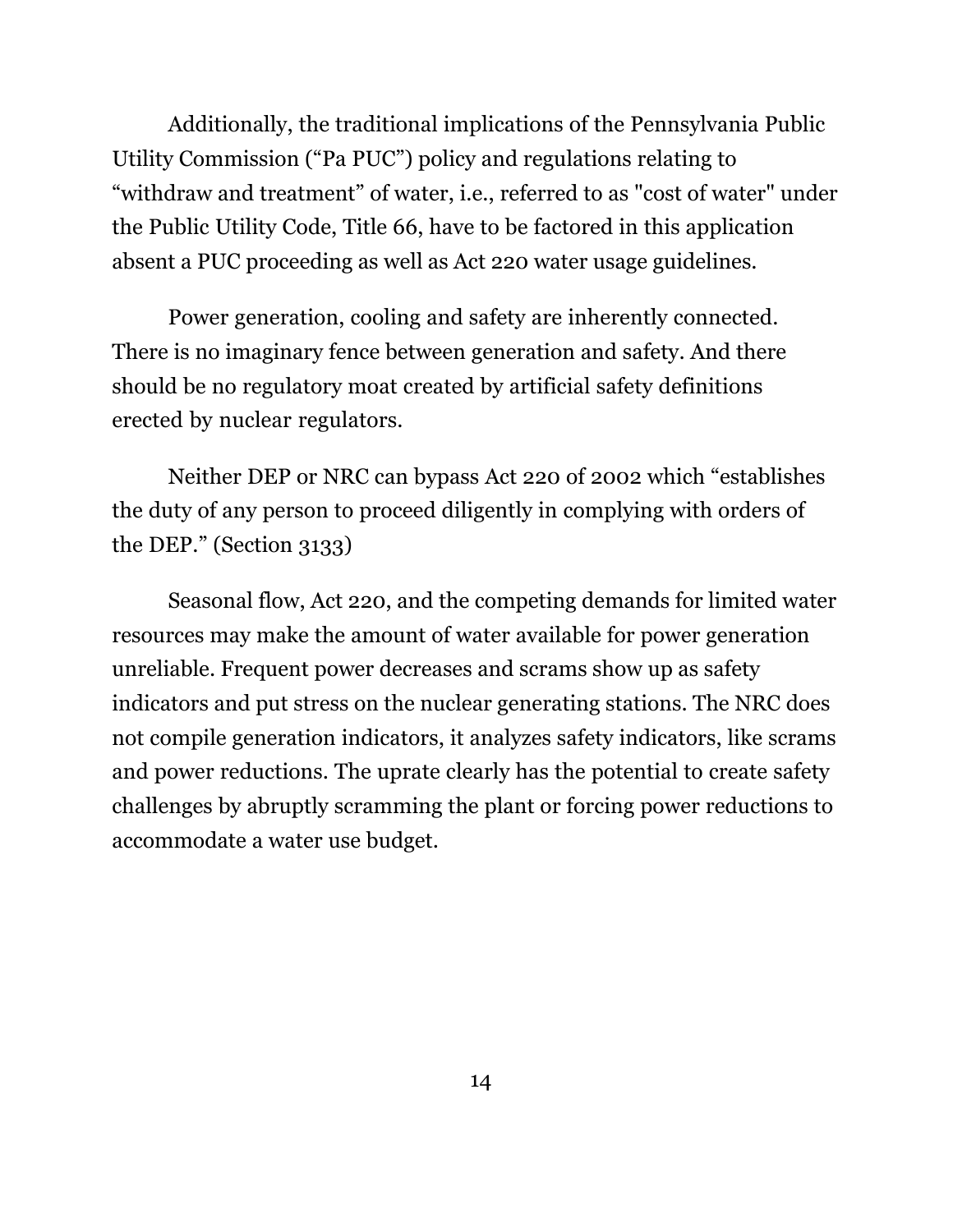Additionally, the traditional implications of the Pennsylvania Public Utility Commission ("Pa PUC") policy and regulations relating to "withdraw and treatment" of water, i.e., referred to as "cost of water" under the Public Utility Code, Title 66, have to be factored in this application absent a PUC proceeding as well as Act 220 water usage guidelines.

 Power generation, cooling and safety are inherently connected. There is no imaginary fence between generation and safety. And there should be no regulatory moat created by artificial safety definitions erected by nuclear regulators.

Neither DEP or NRC can bypass Act 220 of 2002 which "establishes the duty of any person to proceed diligently in complying with orders of the DEP." (Section 3133)

Seasonal flow, Act 220, and the competing demands for limited water resources may make the amount of water available for power generation unreliable. Frequent power decreases and scrams show up as safety indicators and put stress on the nuclear generating stations. The NRC does not compile generation indicators, it analyzes safety indicators, like scrams and power reductions. The uprate clearly has the potential to create safety challenges by abruptly scramming the plant or forcing power reductions to accommodate a water use budget.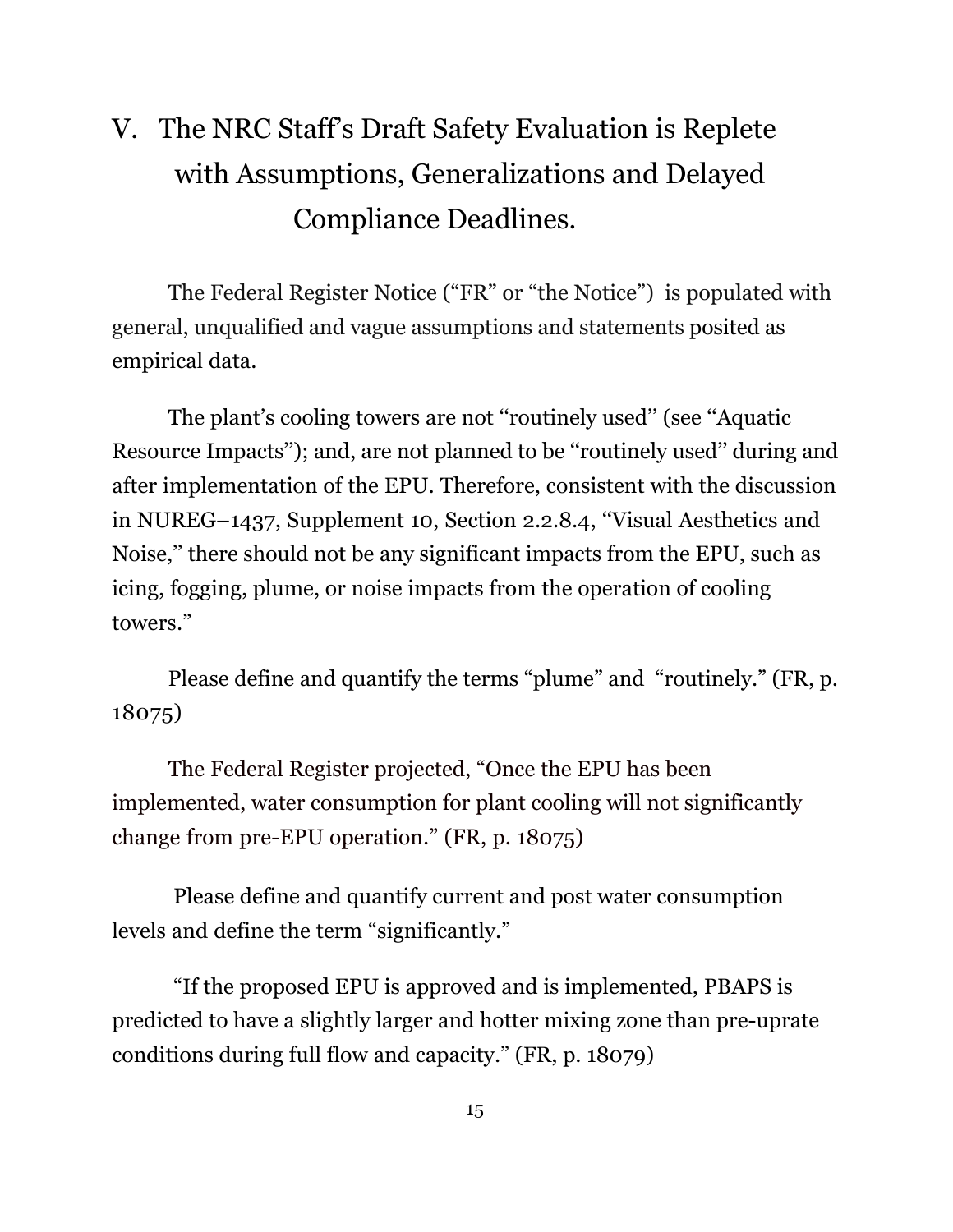# V. The NRC Staff's Draft Safety Evaluation is Replete with Assumptions, Generalizations and Delayed Compliance Deadlines.

The Federal Register Notice ("FR" or "the Notice") is populated with general, unqualified and vague assumptions and statements posited as empirical data.

The plant's cooling towers are not "routinely used" (see "Aquatic Resource Impacts''); and, are not planned to be ''routinely used'' during and after implementation of the EPU. Therefore, consistent with the discussion in NUREG–1437, Supplement 10, Section 2.2.8.4, ''Visual Aesthetics and Noise,'' there should not be any significant impacts from the EPU, such as icing, fogging, plume, or noise impacts from the operation of cooling towers."

Please define and quantify the terms "plume" and "routinely." (FR, p. 18075)

The Federal Register projected, "Once the EPU has been implemented, water consumption for plant cooling will not significantly change from pre-EPU operation." (FR, p. 18075)

Please define and quantify current and post water consumption levels and define the term "significantly."

"If the proposed EPU is approved and is implemented, PBAPS is predicted to have a slightly larger and hotter mixing zone than pre-uprate conditions during full flow and capacity." (FR, p. 18079)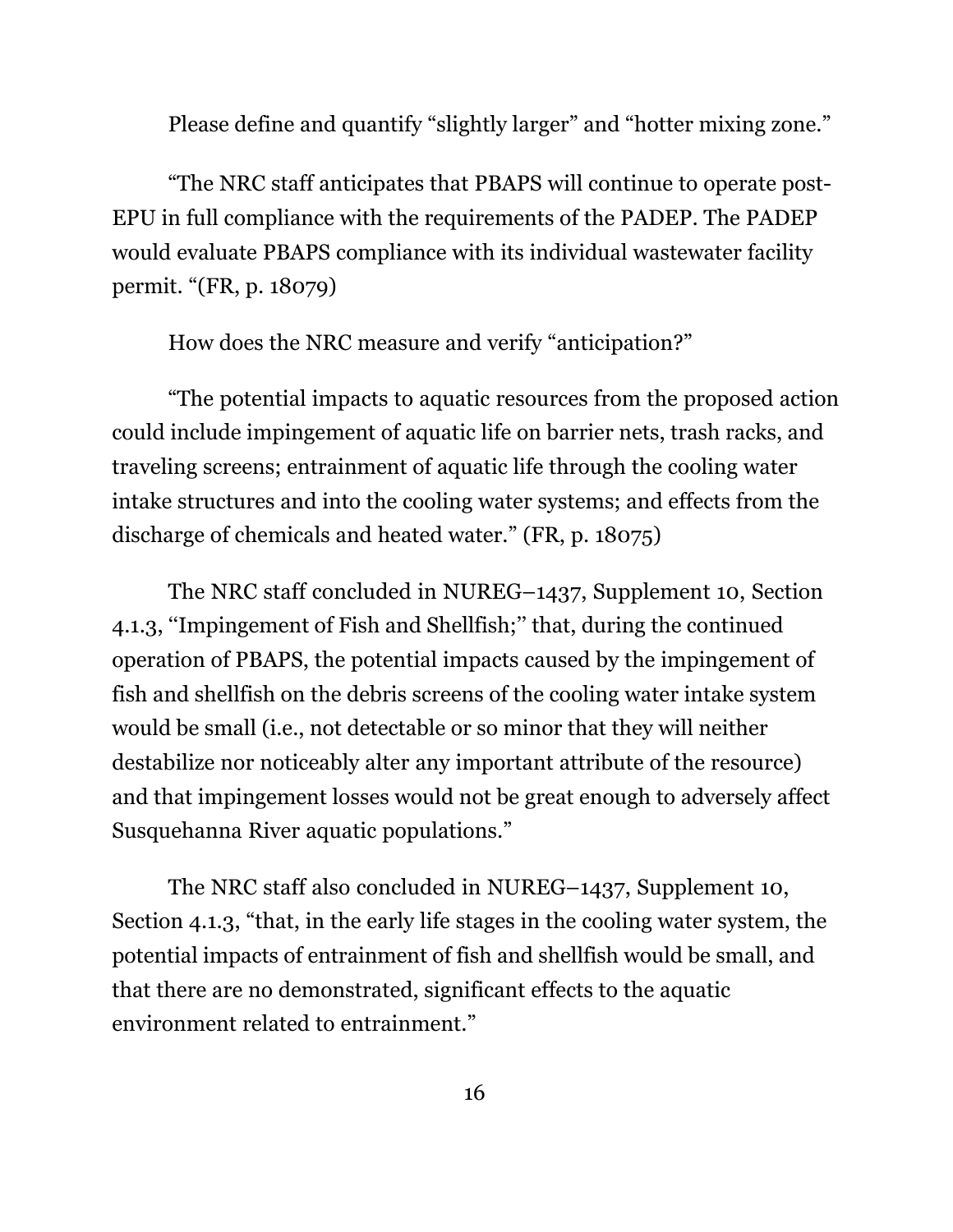Please define and quantify "slightly larger" and "hotter mixing zone."

"The NRC staff anticipates that PBAPS will continue to operate post-EPU in full compliance with the requirements of the PADEP. The PADEP would evaluate PBAPS compliance with its individual wastewater facility permit. "(FR, p. 18079)

How does the NRC measure and verify "anticipation?"

"The potential impacts to aquatic resources from the proposed action could include impingement of aquatic life on barrier nets, trash racks, and traveling screens; entrainment of aquatic life through the cooling water intake structures and into the cooling water systems; and effects from the discharge of chemicals and heated water." (FR, p. 18075)

The NRC staff concluded in NUREG–1437, Supplement 10, Section 4.1.3, ''Impingement of Fish and Shellfish;'' that, during the continued operation of PBAPS, the potential impacts caused by the impingement of fish and shellfish on the debris screens of the cooling water intake system would be small (i.e., not detectable or so minor that they will neither destabilize nor noticeably alter any important attribute of the resource) and that impingement losses would not be great enough to adversely affect Susquehanna River aquatic populations."

The NRC staff also concluded in NUREG–1437, Supplement 10, Section 4.1.3, "that, in the early life stages in the cooling water system, the potential impacts of entrainment of fish and shellfish would be small, and that there are no demonstrated, significant effects to the aquatic environment related to entrainment."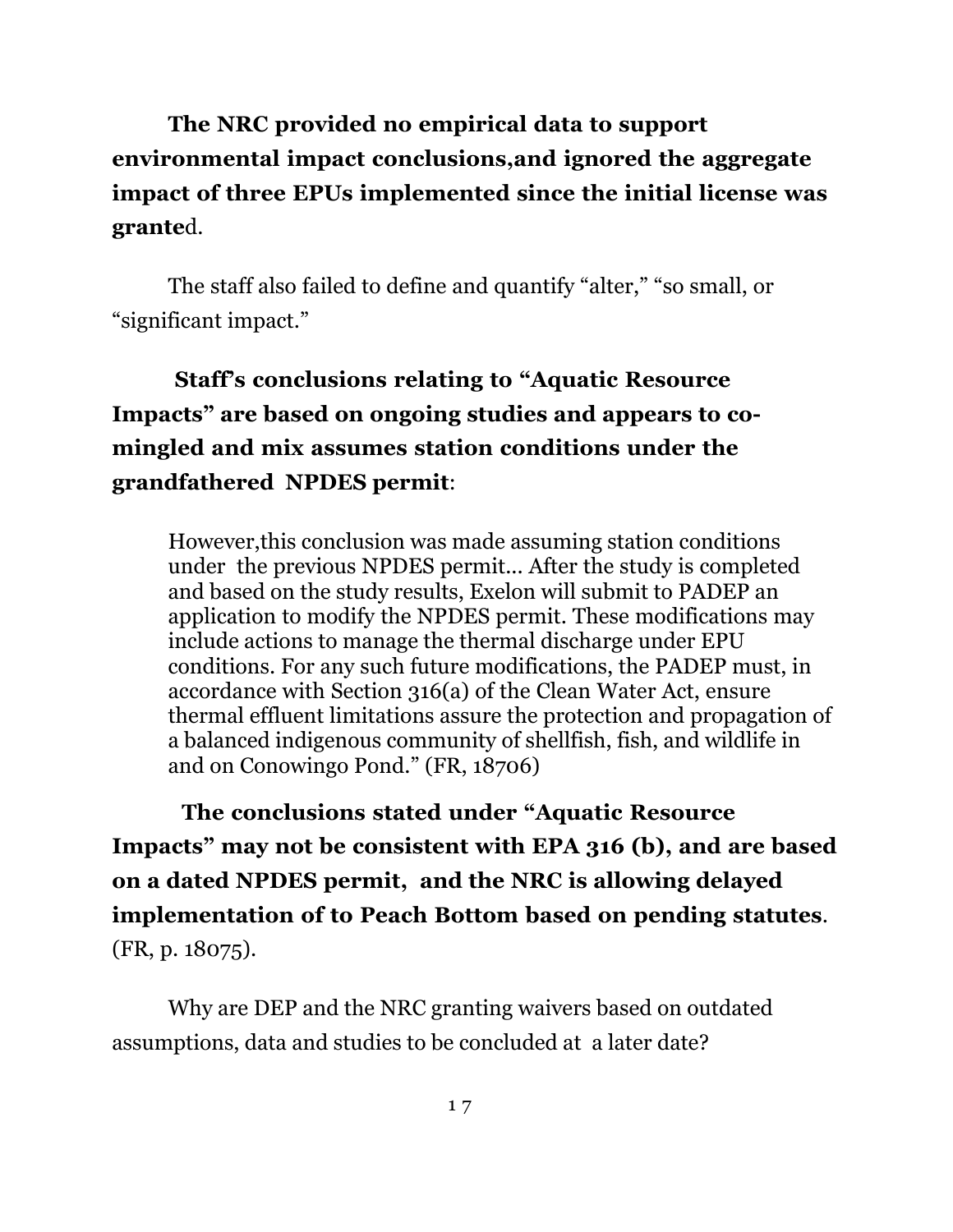**The NRC provided no empirical data to support environmental impact conclusions,and ignored the aggregate impact of three EPUs implemented since the initial license was grante**d.

The staff also failed to define and quantify "alter," "so small, or "significant impact."

**Staff's conclusions relating to "Aquatic Resource Impacts" are based on ongoing studies and appears to comingled and mix assumes station conditions under the grandfathered NPDES permit**:

However,this conclusion was made assuming station conditions under the previous NPDES permit... After the study is completed and based on the study results, Exelon will submit to PADEP an application to modify the NPDES permit. These modifications may include actions to manage the thermal discharge under EPU conditions. For any such future modifications, the PADEP must, in accordance with Section 316(a) of the Clean Water Act, ensure thermal effluent limitations assure the protection and propagation of a balanced indigenous community of shellfish, fish, and wildlife in and on Conowingo Pond." (FR, 18706)

 **The conclusions stated under "Aquatic Resource Impacts" may not be consistent with EPA 316 (b), and are based on a dated NPDES permit, and the NRC is allowing delayed implementation of to Peach Bottom based on pending statutes**. (FR, p. 18075).

Why are DEP and the NRC granting waivers based on outdated assumptions, data and studies to be concluded at a later date?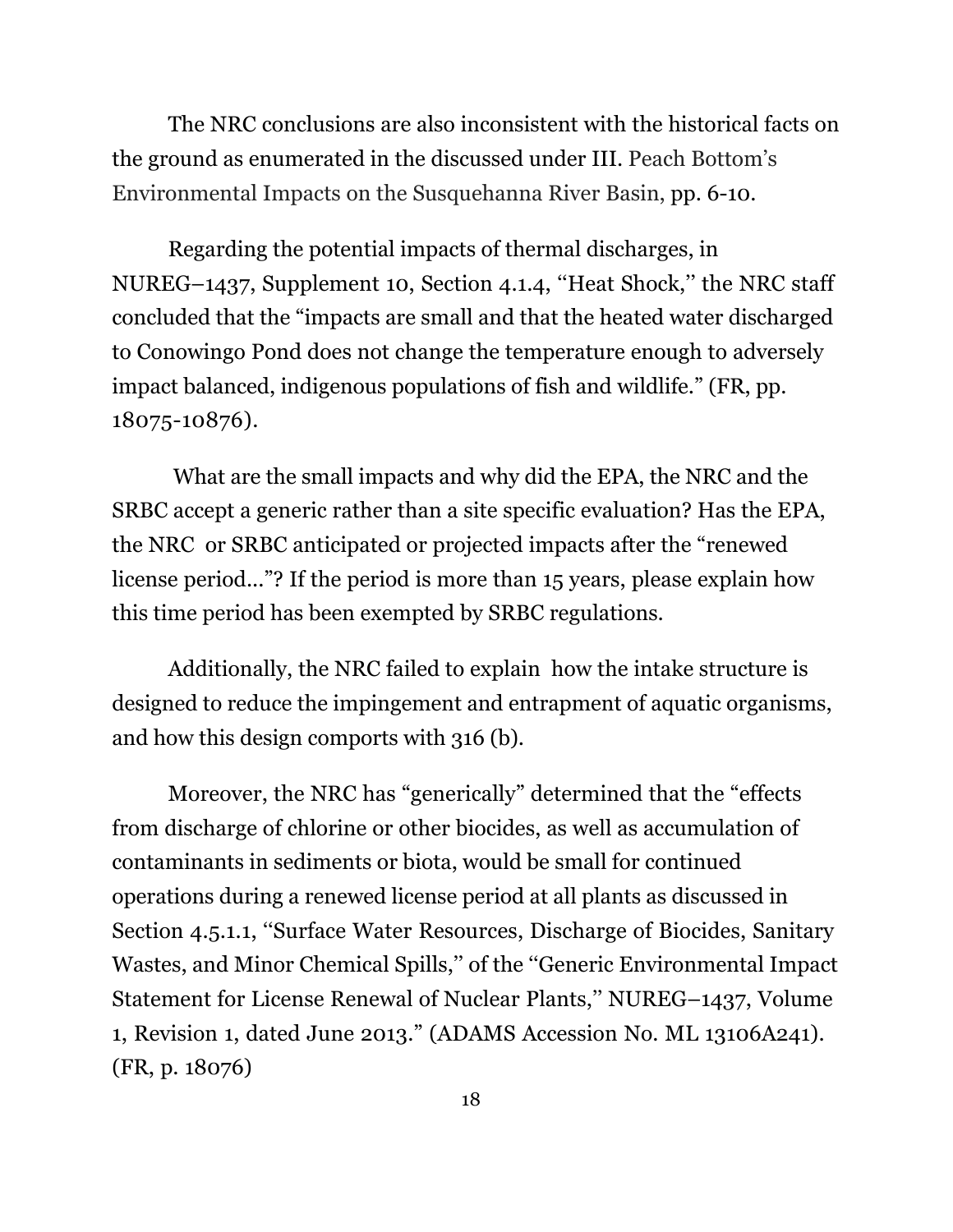The NRC conclusions are also inconsistent with the historical facts on the ground as enumerated in the discussed under III. Peach Bottom's Environmental Impacts on the Susquehanna River Basin, pp. 6-10.

Regarding the potential impacts of thermal discharges, in NUREG–1437, Supplement 10, Section 4.1.4, ''Heat Shock,'' the NRC staff concluded that the "impacts are small and that the heated water discharged to Conowingo Pond does not change the temperature enough to adversely impact balanced, indigenous populations of fish and wildlife." (FR, pp. 18075-10876).

 What are the small impacts and why did the EPA, the NRC and the SRBC accept a generic rather than a site specific evaluation? Has the EPA, the NRC or SRBC anticipated or projected impacts after the "renewed license period..."? If the period is more than 15 years, please explain how this time period has been exempted by SRBC regulations.

 Additionally, the NRC failed to explain how the intake structure is designed to reduce the impingement and entrapment of aquatic organisms, and how this design comports with 316 (b).

 Moreover, the NRC has "generically" determined that the "effects from discharge of chlorine or other biocides, as well as accumulation of contaminants in sediments or biota, would be small for continued operations during a renewed license period at all plants as discussed in Section 4.5.1.1, ''Surface Water Resources, Discharge of Biocides, Sanitary Wastes, and Minor Chemical Spills,'' of the ''Generic Environmental Impact Statement for License Renewal of Nuclear Plants,'' NUREG–1437, Volume 1, Revision 1, dated June 2013." (ADAMS Accession No. ML 13106A241). (FR, p. 18076)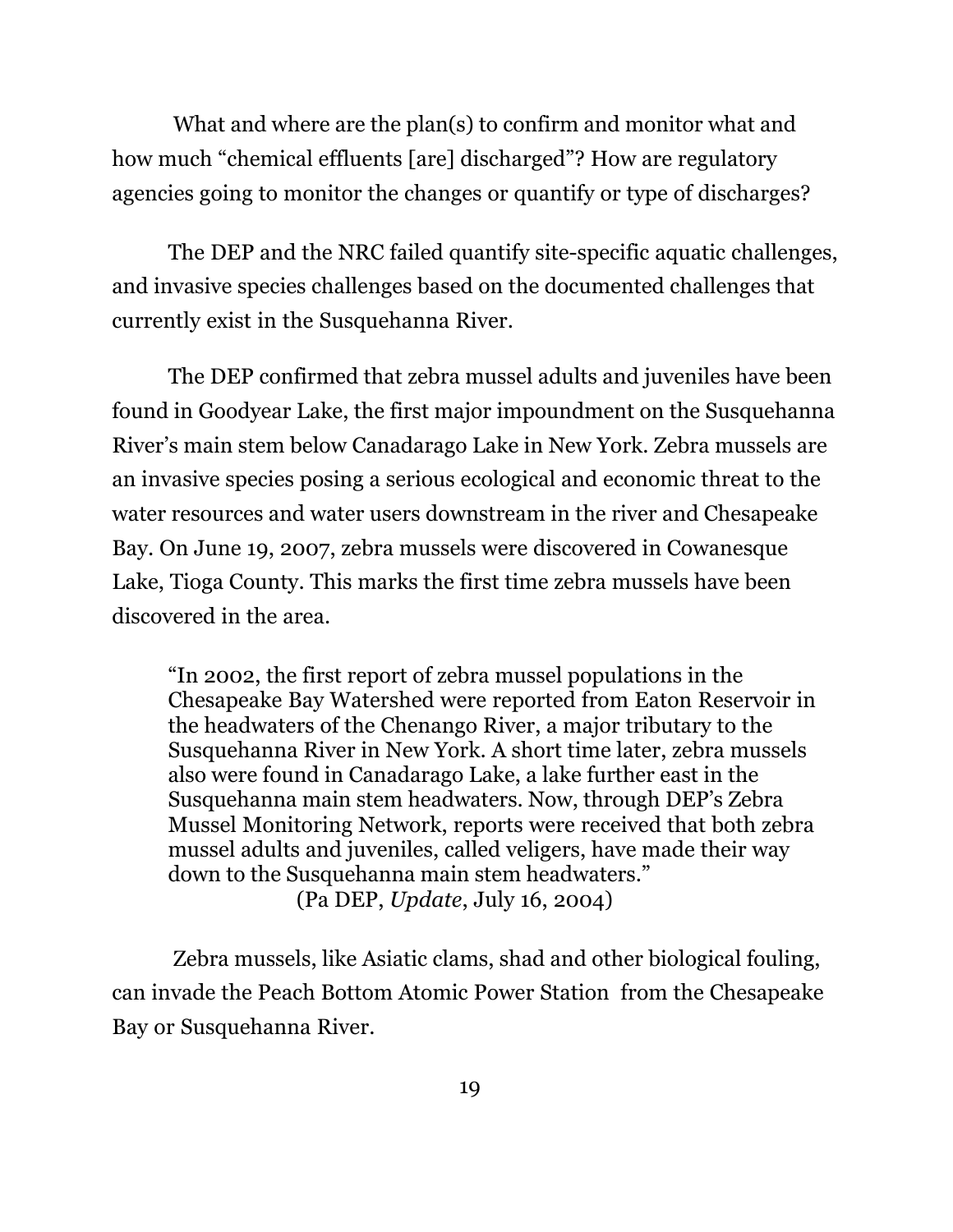What and where are the plan(s) to confirm and monitor what and how much "chemical effluents [are] discharged"? How are regulatory agencies going to monitor the changes or quantify or type of discharges?

The DEP and the NRC failed quantify site-specific aquatic challenges, and invasive species challenges based on the documented challenges that currently exist in the Susquehanna River.

The DEP confirmed that zebra mussel adults and juveniles have been found in Goodyear Lake, the first major impoundment on the Susquehanna River's main stem below Canadarago Lake in New York. Zebra mussels are an invasive species posing a serious ecological and economic threat to the water resources and water users downstream in the river and Chesapeake Bay. On June 19, 2007, zebra mussels were discovered in Cowanesque Lake, Tioga County. This marks the first time zebra mussels have been discovered in the area.

"In 2002, the first report of zebra mussel populations in the Chesapeake Bay Watershed were reported from Eaton Reservoir in the headwaters of the Chenango River, a major tributary to the Susquehanna River in New York. A short time later, zebra mussels also were found in Canadarago Lake, a lake further east in the Susquehanna main stem headwaters. Now, through DEP's Zebra Mussel Monitoring Network, reports were received that both zebra mussel adults and juveniles, called veligers, have made their way down to the Susquehanna main stem headwaters." (Pa DEP, *Update*, July 16, 2004)

 Zebra mussels, like Asiatic clams, shad and other biological fouling, can invade the Peach Bottom Atomic Power Station from the Chesapeake Bay or Susquehanna River.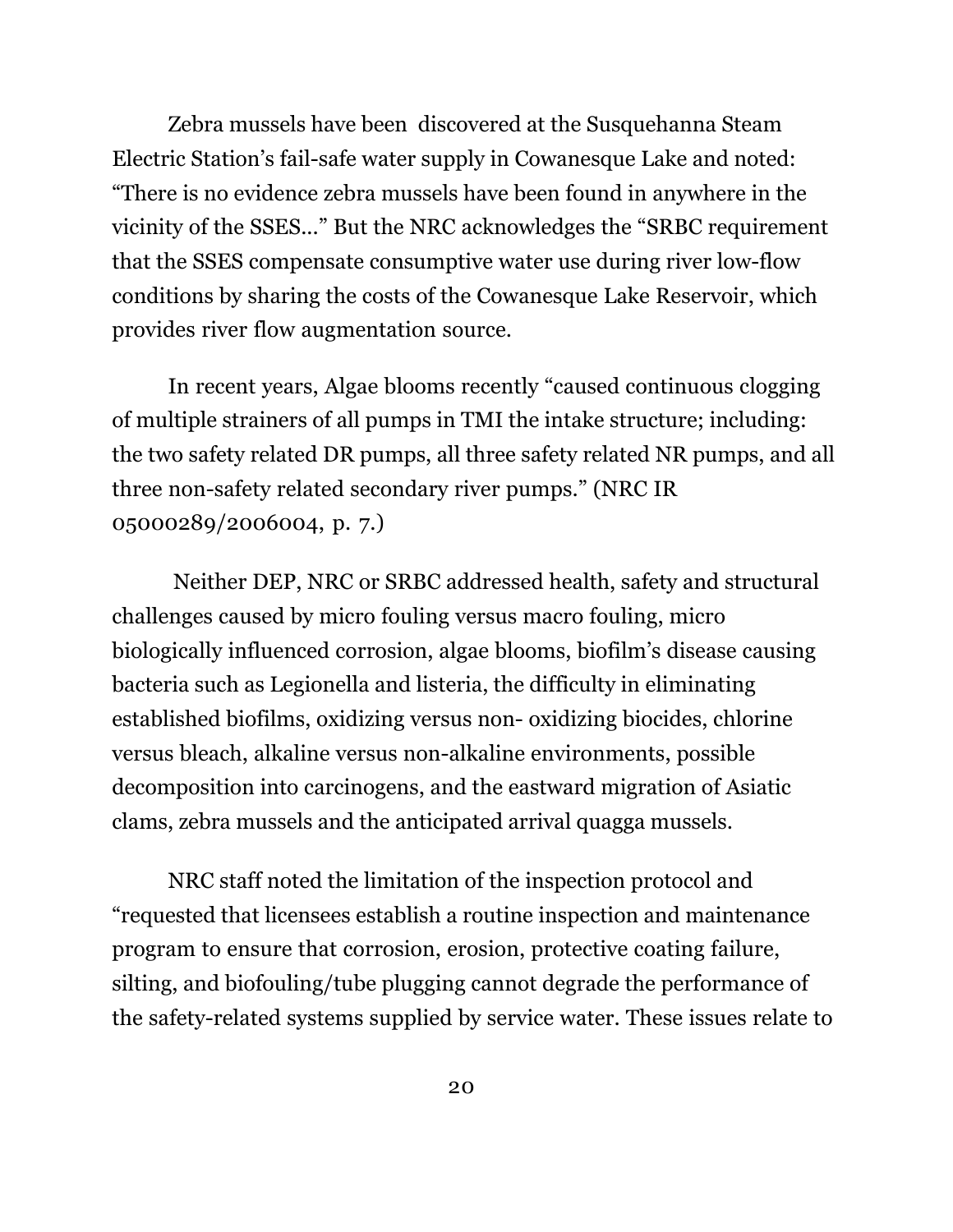Zebra mussels have been discovered at the Susquehanna Steam Electric Station's fail-safe water supply in Cowanesque Lake and noted: "There is no evidence zebra mussels have been found in anywhere in the vicinity of the SSES..." But the NRC acknowledges the "SRBC requirement that the SSES compensate consumptive water use during river low-flow conditions by sharing the costs of the Cowanesque Lake Reservoir, which provides river flow augmentation source.

In recent years, Algae blooms recently "caused continuous clogging of multiple strainers of all pumps in TMI the intake structure; including: the two safety related DR pumps, all three safety related NR pumps, and all three non-safety related secondary river pumps." (NRC IR 05000289/2006004, p. 7.)

Neither DEP, NRC or SRBC addressed health, safety and structural challenges caused by micro fouling versus macro fouling, micro biologically influenced corrosion, algae blooms, biofilm's disease causing bacteria such as Legionella and listeria, the difficulty in eliminating established biofilms, oxidizing versus non- oxidizing biocides, chlorine versus bleach, alkaline versus non-alkaline environments, possible decomposition into carcinogens, and the eastward migration of Asiatic clams, zebra mussels and the anticipated arrival quagga mussels.

NRC staff noted the limitation of the inspection protocol and "requested that licensees establish a routine inspection and maintenance program to ensure that corrosion, erosion, protective coating failure, silting, and biofouling/tube plugging cannot degrade the performance of the safety-related systems supplied by service water. These issues relate to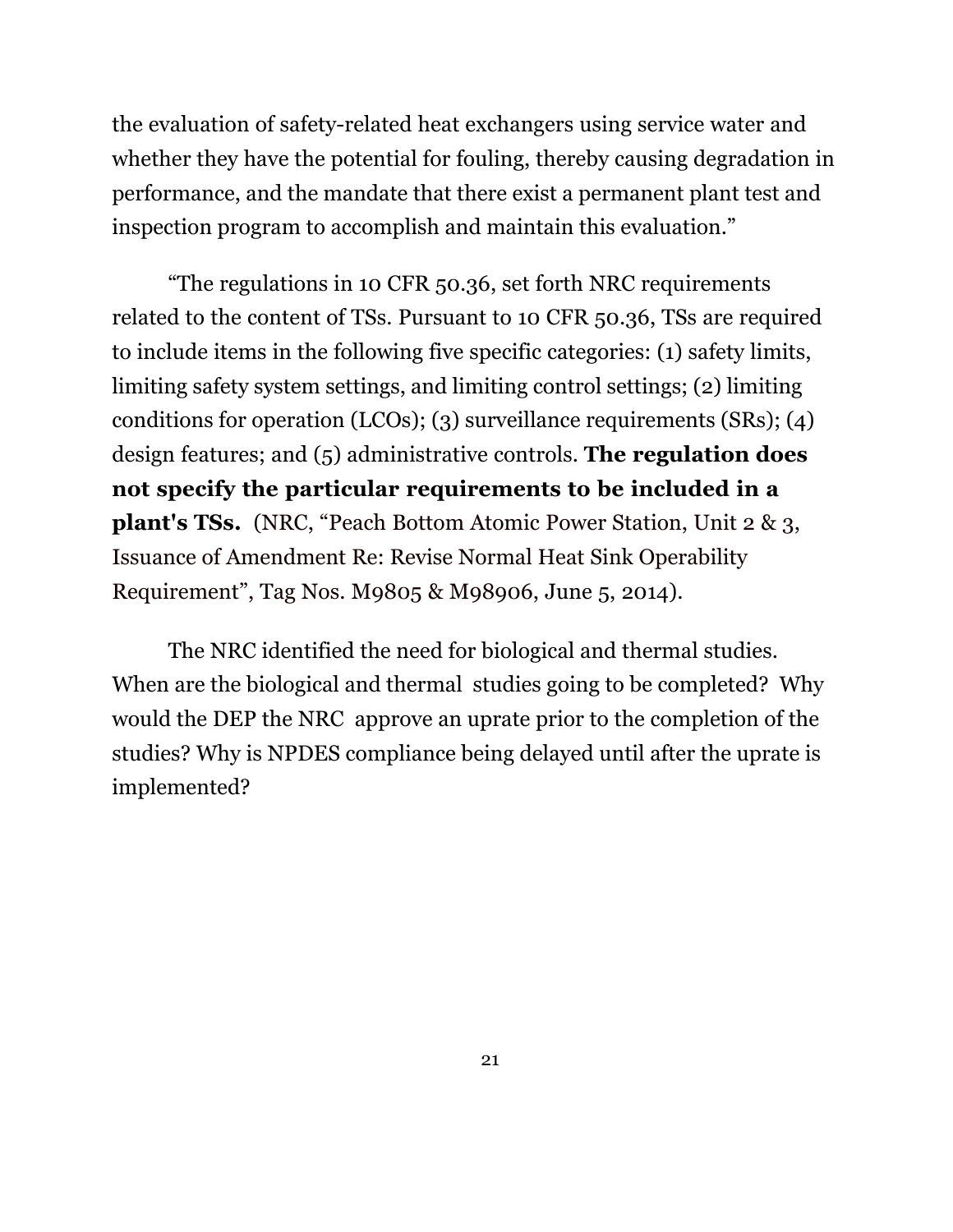the evaluation of safety-related heat exchangers using service water and whether they have the potential for fouling, thereby causing degradation in performance, and the mandate that there exist a permanent plant test and inspection program to accomplish and maintain this evaluation."

"The regulations in 10 CFR 50.36, set forth NRC requirements related to the content of TSs. Pursuant to 10 CFR 50.36, TSs are required to include items in the following five specific categories: (1) safety limits, limiting safety system settings, and limiting control settings; (2) limiting conditions for operation (LCOs); (3) surveillance requirements (SRs); (4) design features; and (5) administrative controls. **The regulation does not specify the particular requirements to be included in a plant's TSs.** (NRC, "Peach Bottom Atomic Power Station, Unit 2 & 3, Issuance of Amendment Re: Revise Normal Heat Sink Operability Requirement", Tag Nos. M9805 & M98906, June 5, 2014).

The NRC identified the need for biological and thermal studies. When are the biological and thermal studies going to be completed? Why would the DEP the NRC approve an uprate prior to the completion of the studies? Why is NPDES compliance being delayed until after the uprate is implemented?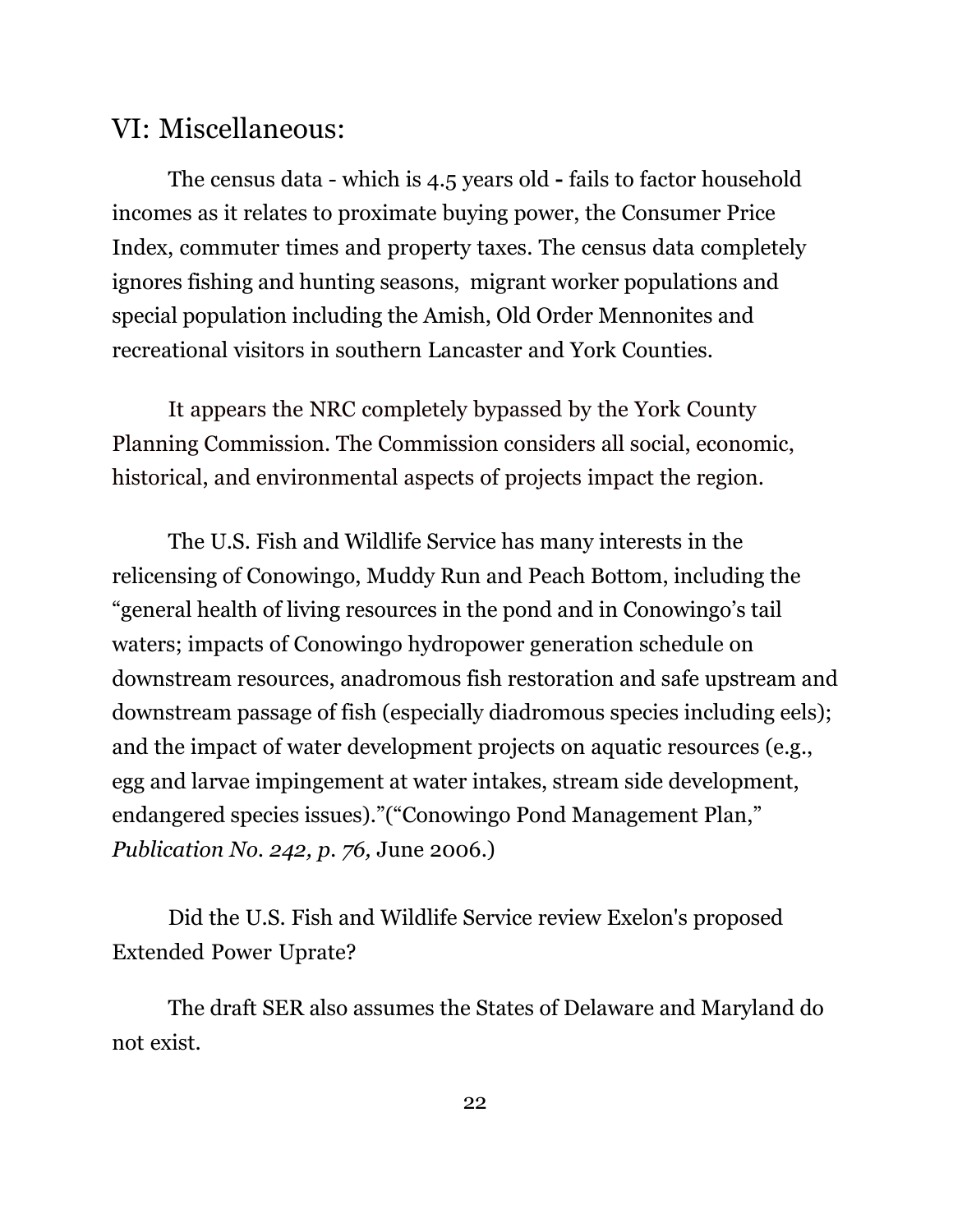## VI: Miscellaneous:

The census data - which is 4.5 years old **-** fails to factor household incomes as it relates to proximate buying power, the Consumer Price Index, commuter times and property taxes. The census data completely ignores fishing and hunting seasons, migrant worker populations and special population including the Amish, Old Order Mennonites and recreational visitors in southern Lancaster and York Counties.

It appears the NRC completely bypassed by the York County Planning Commission. The Commission considers all social, economic, historical, and environmental aspects of projects impact the region.

 The U.S. Fish and Wildlife Service has many interests in the relicensing of Conowingo, Muddy Run and Peach Bottom, including the "general health of living resources in the pond and in Conowingo's tail waters; impacts of Conowingo hydropower generation schedule on downstream resources, anadromous fish restoration and safe upstream and downstream passage of fish (especially diadromous species including eels); and the impact of water development projects on aquatic resources (e.g., egg and larvae impingement at water intakes, stream side development, endangered species issues)."("Conowingo Pond Management Plan," *Publication No. 242, p. 76,* June 2006.)

Did the U.S. Fish and Wildlife Service review Exelon's proposed Extended Power Uprate?

The draft SER also assumes the States of Delaware and Maryland do not exist.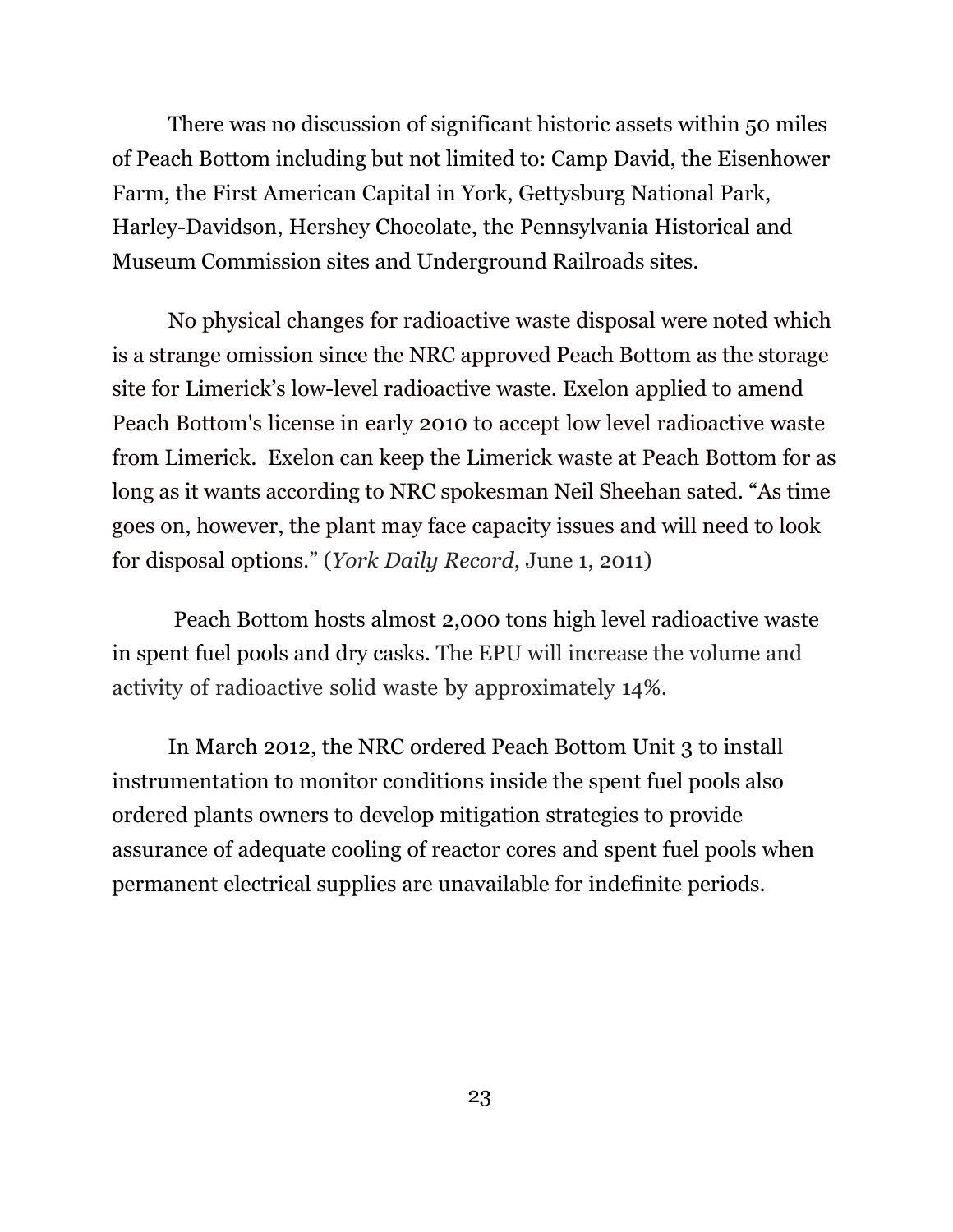There was no discussion of significant historic assets within 50 miles of Peach Bottom including but not limited to: Camp David, the Eisenhower Farm, the First American Capital in York, Gettysburg National Park, Harley-Davidson, Hershey Chocolate, the Pennsylvania Historical and Museum Commission sites and Underground Railroads sites.

No physical changes for radioactive waste disposal were noted which is a strange omission since the NRC approved Peach Bottom as the storage site for Limerick's low-level radioactive waste. Exelon applied to amend Peach Bottom's license in early 2010 to accept low level radioactive waste from Limerick. Exelon can keep the Limerick waste at Peach Bottom for as long as it wants according to NRC spokesman Neil Sheehan sated. "As time goes on, however, the plant may face capacity issues and will need to look for disposal options." (*York Daily Record*, June 1, 2011)

Peach Bottom hosts almost 2,000 tons high level radioactive waste in spent fuel pools and dry casks. The EPU will increase the volume and activity of radioactive solid waste by approximately 14%.

In March 2012, the NRC ordered Peach Bottom Unit 3 to install instrumentation to monitor conditions inside the spent fuel pools also ordered plants owners to develop mitigation strategies to provide assurance of adequate cooling of reactor cores and spent fuel pools when permanent electrical supplies are unavailable for indefinite periods.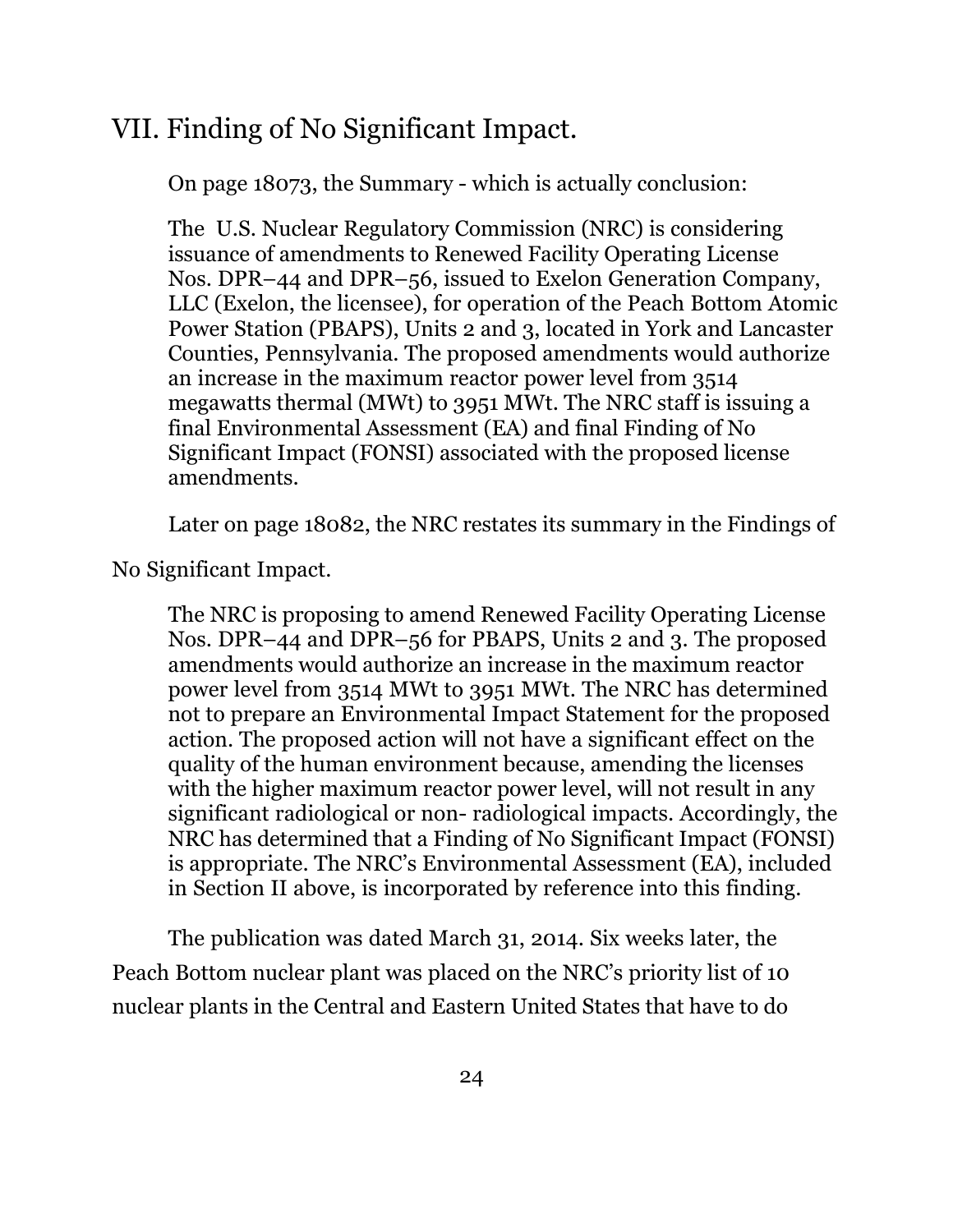# VII. Finding of No Significant Impact.

On page 18073, the Summary - which is actually conclusion:

The U.S. Nuclear Regulatory Commission (NRC) is considering issuance of amendments to Renewed Facility Operating License Nos. DPR–44 and DPR–56, issued to Exelon Generation Company, LLC (Exelon, the licensee), for operation of the Peach Bottom Atomic Power Station (PBAPS), Units 2 and 3, located in York and Lancaster Counties, Pennsylvania. The proposed amendments would authorize an increase in the maximum reactor power level from 3514 megawatts thermal (MWt) to 3951 MWt. The NRC staff is issuing a final Environmental Assessment (EA) and final Finding of No Significant Impact (FONSI) associated with the proposed license amendments.

Later on page 18082, the NRC restates its summary in the Findings of

No Significant Impact.

The NRC is proposing to amend Renewed Facility Operating License Nos. DPR–44 and DPR–56 for PBAPS, Units 2 and 3. The proposed amendments would authorize an increase in the maximum reactor power level from 3514 MWt to 3951 MWt. The NRC has determined not to prepare an Environmental Impact Statement for the proposed action. The proposed action will not have a significant effect on the quality of the human environment because, amending the licenses with the higher maximum reactor power level, will not result in any significant radiological or non- radiological impacts. Accordingly, the NRC has determined that a Finding of No Significant Impact (FONSI) is appropriate. The NRC's Environmental Assessment (EA), included in Section II above, is incorporated by reference into this finding.

The publication was dated March 31, 2014. Six weeks later, the Peach Bottom nuclear plant was placed on the NRC's priority list of 10 nuclear plants in the Central and Eastern United States that have to do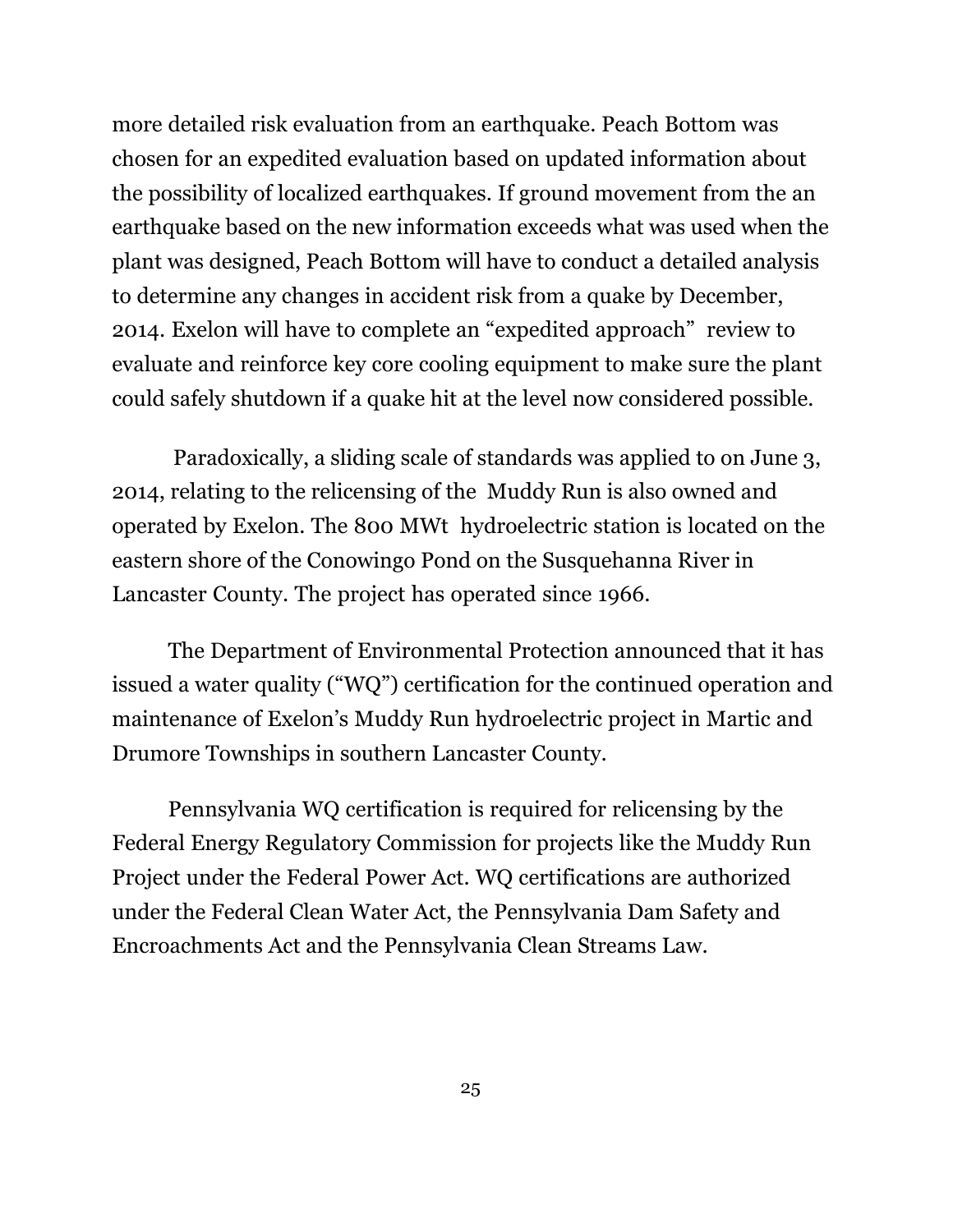more detailed risk evaluation from an earthquake. Peach Bottom was chosen for an expedited evaluation based on updated information about the possibility of localized earthquakes. If ground movement from the an earthquake based on the new information exceeds what was used when the plant was designed, Peach Bottom will have to conduct a detailed analysis to determine any changes in accident risk from a quake by December, 2014. Exelon will have to complete an "expedited approach" review to evaluate and reinforce key core cooling equipment to make sure the plant could safely shutdown if a quake hit at the level now considered possible.

Paradoxically, a sliding scale of standards was applied to on June 3, 2014, relating to the relicensing of the Muddy Run is also owned and operated by Exelon. The 800 MWt hydroelectric station is located on the eastern shore of the Conowingo Pond on the Susquehanna River in Lancaster County. The project has operated since 1966.

The Department of Environmental Protection announced that it has issued a water quality ("WQ") certification for the continued operation and maintenance of Exelon's Muddy Run hydroelectric project in Martic and Drumore Townships in southern Lancaster County.

Pennsylvania WQ certification is required for relicensing by the Federal Energy Regulatory Commission for projects like the Muddy Run Project under the Federal Power Act. WQ certifications are authorized under the Federal Clean Water Act, the Pennsylvania Dam Safety and Encroachments Act and the Pennsylvania Clean Streams Law.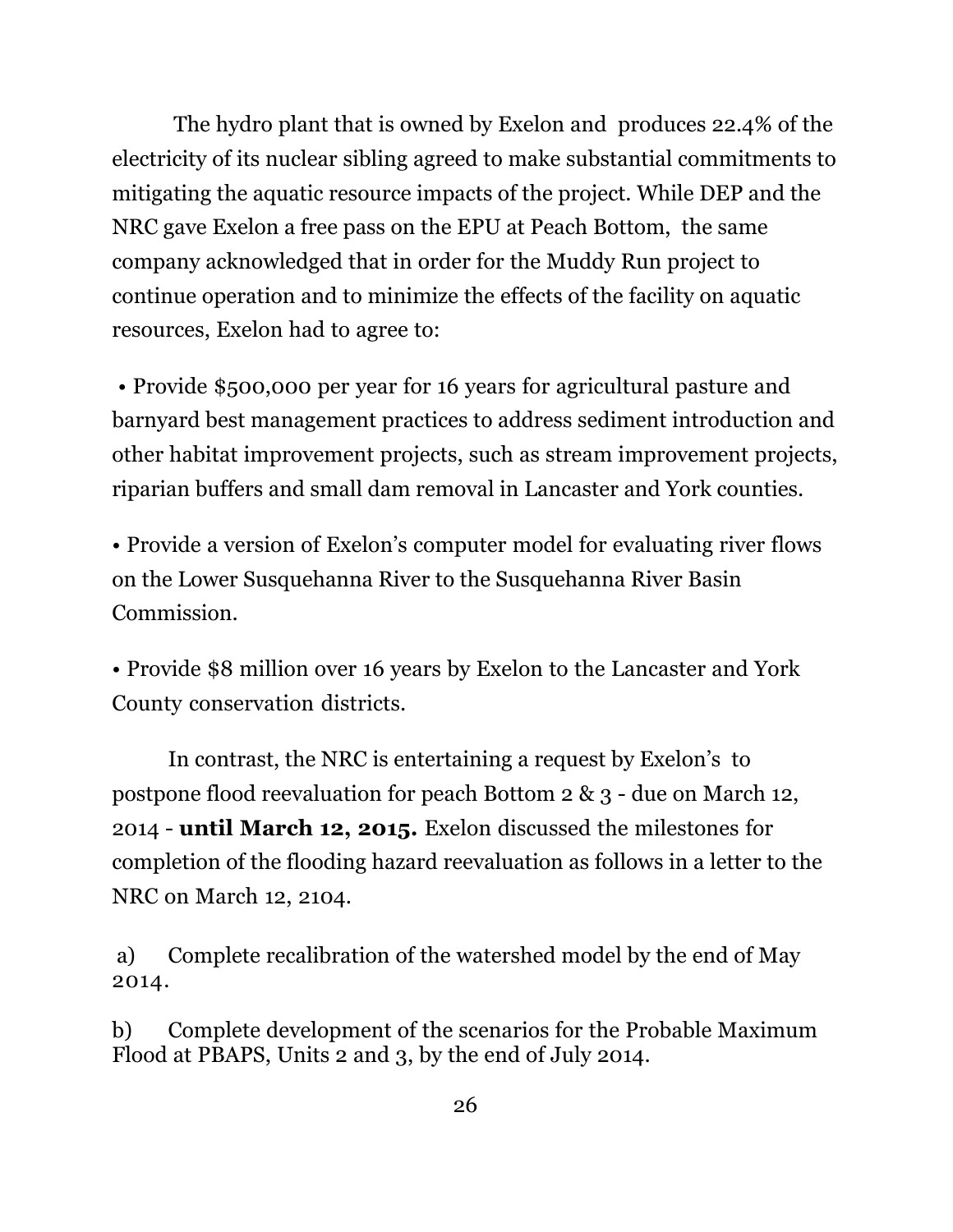The hydro plant that is owned by Exelon and produces 22.4% of the electricity of its nuclear sibling agreed to make substantial commitments to mitigating the aquatic resource impacts of the project. While DEP and the NRC gave Exelon a free pass on the EPU at Peach Bottom, the same company acknowledged that in order for the Muddy Run project to continue operation and to minimize the effects of the facility on aquatic resources, Exelon had to agree to:

• Provide \$500,000 per year for 16 years for agricultural pasture and barnyard best management practices to address sediment introduction and other habitat improvement projects, such as stream improvement projects, riparian buffers and small dam removal in Lancaster and York counties.

• Provide a version of Exelon's computer model for evaluating river flows on the Lower Susquehanna River to the Susquehanna River Basin Commission.

• Provide \$8 million over 16 years by Exelon to the Lancaster and York County conservation districts.

In contrast, the NRC is entertaining a request by Exelon's to postpone flood reevaluation for peach Bottom 2 & 3 - due on March 12, 2014 - **until March 12, 2015.** Exelon discussed the milestones for completion of the flooding hazard reevaluation as follows in a letter to the NRC on March 12, 2104.

 a) Complete recalibration of the watershed model by the end of May 2014.

b) Complete development of the scenarios for the Probable Maximum Flood at PBAPS, Units 2 and 3, by the end of July 2014.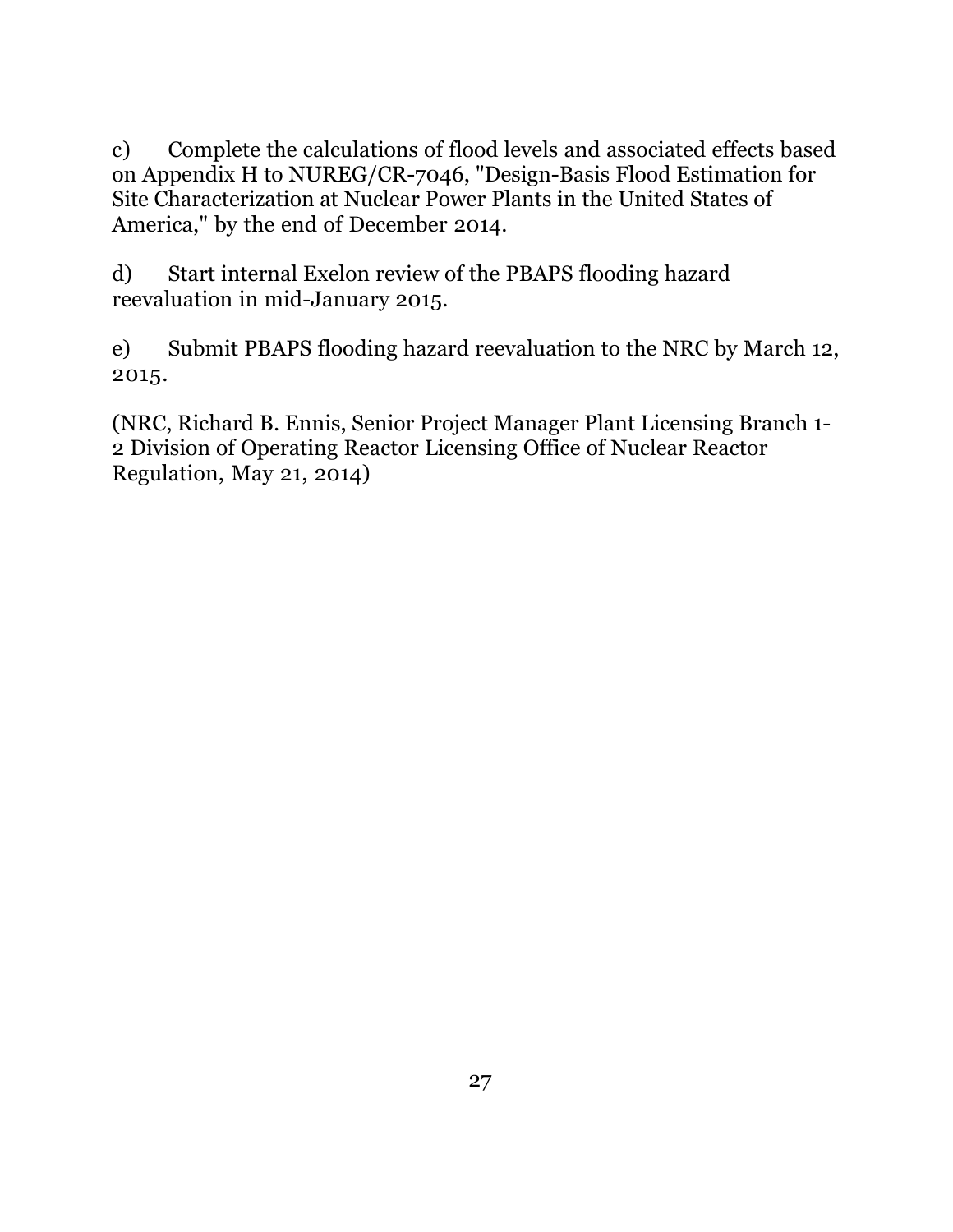c) Complete the calculations of flood levels and associated effects based on Appendix H to NUREG/CR-7046, "Design-Basis Flood Estimation for Site Characterization at Nuclear Power Plants in the United States of America," by the end of December 2014.

d) Start internal Exelon review of the PBAPS flooding hazard reevaluation in mid-January 2015.

e) Submit PBAPS flooding hazard reevaluation to the NRC by March 12, 2015.

(NRC, Richard B. Ennis, Senior Project Manager Plant Licensing Branch 1- 2 Division of Operating Reactor Licensing Office of Nuclear Reactor Regulation, May 21, 2014)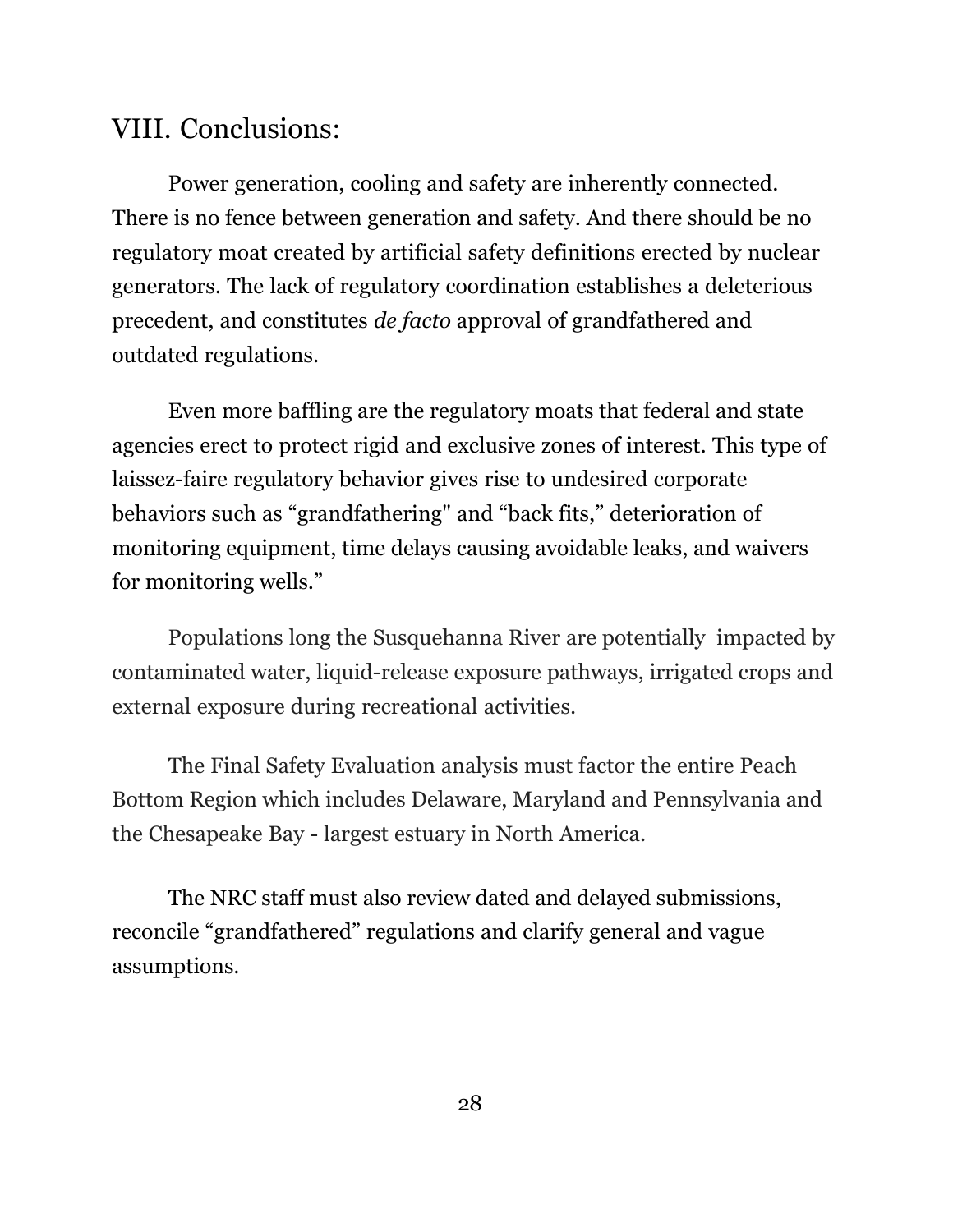## VIII. Conclusions:

Power generation, cooling and safety are inherently connected. There is no fence between generation and safety. And there should be no regulatory moat created by artificial safety definitions erected by nuclear generators. The lack of regulatory coordination establishes a deleterious precedent, and constitutes *de facto* approval of grandfathered and outdated regulations.

Even more baffling are the regulatory moats that federal and state agencies erect to protect rigid and exclusive zones of interest. This type of laissez-faire regulatory behavior gives rise to undesired corporate behaviors such as "grandfathering" and "back fits," deterioration of monitoring equipment, time delays causing avoidable leaks, and waivers for monitoring wells."

Populations long the Susquehanna River are potentially impacted by contaminated water, liquid-release exposure pathways, irrigated crops and external exposure during recreational activities.

The Final Safety Evaluation analysis must factor the entire Peach Bottom Region which includes Delaware, Maryland and Pennsylvania and the Chesapeake Bay - largest estuary in North America.

The NRC staff must also review dated and delayed submissions, reconcile "grandfathered" regulations and clarify general and vague assumptions.